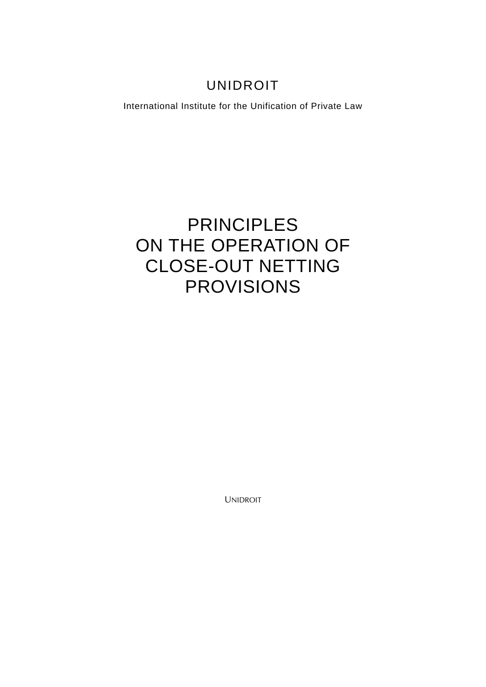# UNIDROIT

International Institute for the Unification of Private Law

# PRINCIPLES ON THE OPERATION OF CLOSE-OUT NETTING PROVISIONS

UNIDROIT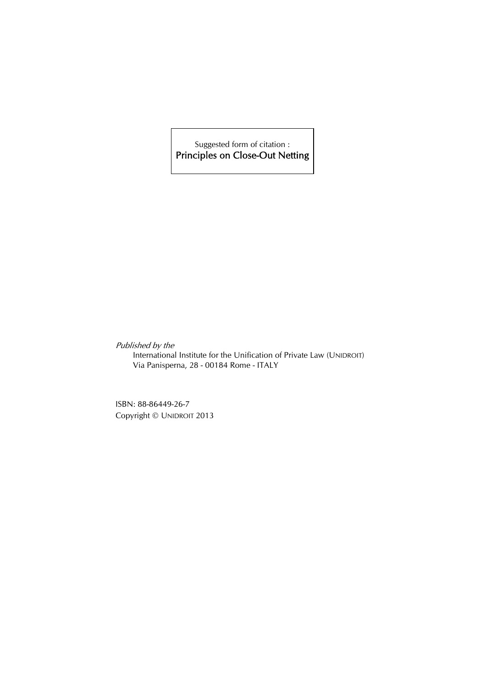Suggested form of citation : Principles on Close-Out Netting

Published by the International Institute for the Unification of Private Law (UNIDROIT) Via Panisperna, 28 - 00184 Rome - ITALY

ISBN: 88-86449-26-7 Copyright © UNIDROIT 2013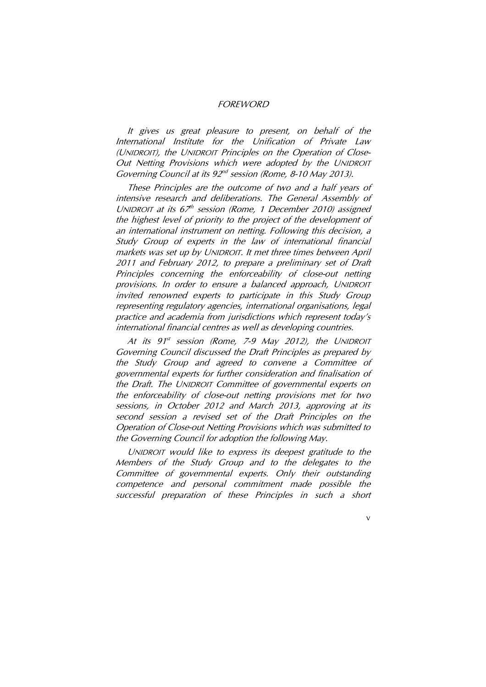#### **FOREWORD**

It gives us great pleasure to present, on behalf of the International Institute for the Unification of Private Law (UNIDROIT), the UNIDROIT Principles on the Operation of Close-Out Netting Provisions which were adopted by the UNIDROIT Governing Council at its 92<sup>nd</sup> session (Rome, 8-10 May 2013).

These Principles are the outcome of two and a half years of intensive research and deliberations. The General Assembly of UNIDROIT at its  $67<sup>th</sup>$  session (Rome, 1 December 2010) assigned the highest level of priority to the project of the development of an international instrument on netting. Following this decision, a Study Group of experts in the law of international financial markets was set up by UNIDROIT. It met three times between April 2011 and February 2012, to prepare a preliminary set of Draft Principles concerning the enforceability of close-out netting provisions. In order to ensure a balanced approach, UNIDROIT invited renowned experts to participate in this Study Group representing regulatory agencies, international organisations, legal practice and academia from jurisdictions which represent today's international financial centres as well as developing countries.

At its  $91^{st}$  session (Rome, 7-9 May 2012), the UNIDROIT Governing Council discussed the Draft Principles as prepared by the Study Group and agreed to convene a Committee of governmental experts for further consideration and finalisation of the Draft. The UNIDROIT Committee of governmental experts on the enforceability of close-out netting provisions met for two sessions, in October 2012 and March 2013, approving at its second session a revised set of the Draft Principles on the Operation of Close-out Netting Provisions which was submitted to the Governing Council for adoption the following May.

UNIDROIT would like to express its deepest gratitude to the Members of the Study Group and to the delegates to the Committee of governmental experts. Only their outstanding competence and personal commitment made possible the successful preparation of these Principles in such a short

v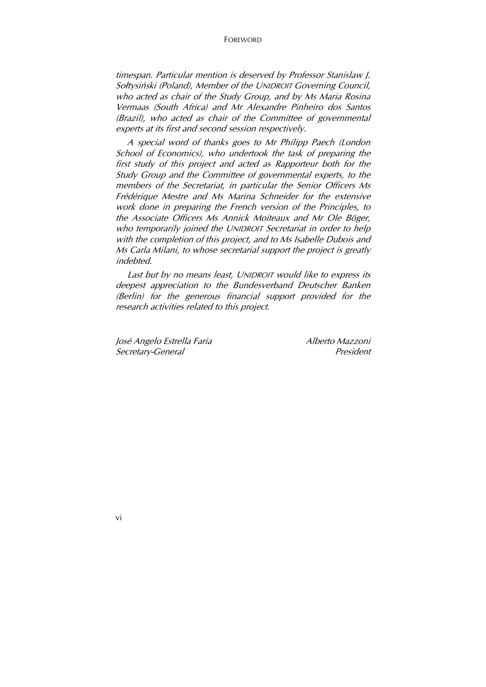timespan. Particular mention is deserved by Professor Stanislaw J. Sołtysiński (Poland), Member of the UNIDROIT Governing Council, who acted as chair of the Study Group, and by Ms Maria Rosina Vermaas (South Africa) and Mr Alexandre Pinheiro dos Santos (Brazil), who acted as chair of the Committee of governmental experts at its first and second session respectively.

A special word of thanks goes to Mr Philipp Paech (London School of Economics), who undertook the task of preparing the first study of this project and acted as Rapporteur both for the Study Group and the Committee of governmental experts, to the members of the Secretariat, in particular the Senior Officers Ms Frédérique Mestre and Ms Marina Schneider for the extensive work done in preparing the French version of the Principles, to the Associate Officers Ms Annick Moiteaux and Mr Ole Böger, who temporarily joined the UNIDROIT Secretariat in order to help with the completion of this project, and to Ms Isabelle Dubois and Ms Carla Milani, to whose secretarial support the project is greatly indebted.

Last but by no means least, UNIDROIT would like to express its deepest appreciation to the Bundesverband Deutscher Banken (Berlin) for the generous financial support provided for the research activities related to this project.

José Angelo Estrella Faria di Alberto Mazzoni Secretary-General President

vi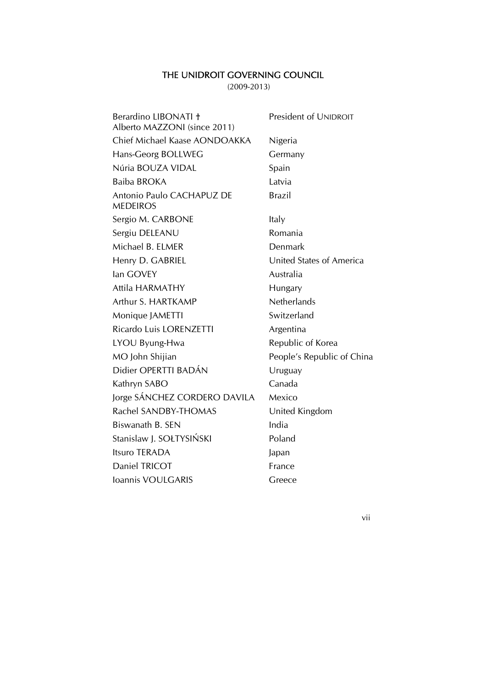# THE UNIDROIT GOVERNING COUNCIL

(2009-2013)

| Berardino LIBONATI +                         | President of UNIDROIT      |
|----------------------------------------------|----------------------------|
| Alberto MAZZONI (since 2011)                 |                            |
| Chief Michael Kaase AONDOAKKA                | Nigeria                    |
| Hans-Georg BOLLWEG                           | Germany                    |
| Núria BOUZA VIDAL                            | Spain                      |
| Baiba BROKA                                  | Latvia                     |
| Antonio Paulo CACHAPUZ DE<br><b>MEDEIROS</b> | <b>Brazil</b>              |
| Sergio M. CARBONE                            | <b>Italy</b>               |
| Sergiu DELEANU                               | Romania                    |
| Michael B. ELMER                             | Denmark                    |
| Henry D. GABRIEL                             | United States of America   |
| lan GOVEY                                    | Australia                  |
| <b>Attila HARMATHY</b>                       | Hungary                    |
| Arthur S. HARTKAMP                           | <b>Netherlands</b>         |
| Monique JAMETTI                              | Switzerland                |
| Ricardo Luis LORENZETTI                      | Argentina                  |
| LYOU Byung-Hwa                               | Republic of Korea          |
| MO John Shijian                              | People's Republic of China |
| Didier OPERTTI BADÁN                         | Uruguay                    |
| Kathryn SABO                                 | Canada                     |
| Jorge SÁNCHEZ CORDERO DAVILA                 | Mexico                     |
| Rachel SANDBY-THOMAS                         | United Kingdom             |
| Biswanath B. SEN                             | India                      |
| Stanislaw J. SOŁTYSIŃSKI                     | Poland                     |
| <b>Itsuro TERADA</b>                         | Japan                      |
| Daniel TRICOT                                | France                     |
| Ioannis VOULGARIS                            | Greece                     |
|                                              |                            |

vii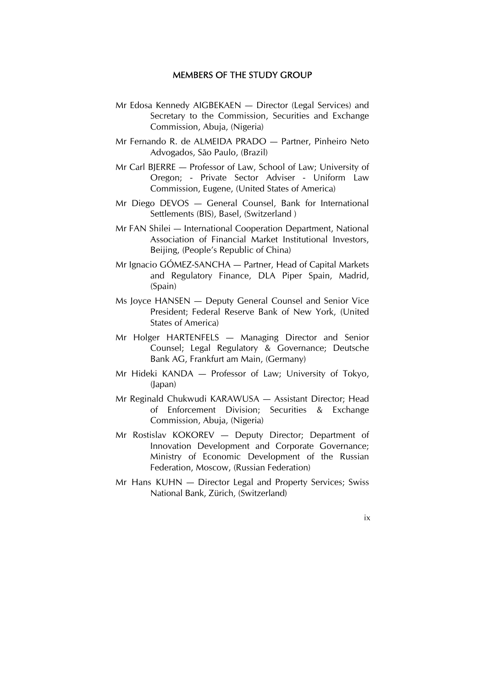#### MEMBERS OF THE STUDY GROUP

- Mr Edosa Kennedy AIGBEKAEN Director (Legal Services) and Secretary to the Commission, Securities and Exchange Commission, Abuja, (Nigeria)
- Mr Fernando R. de ALMEIDA PRADO Partner, Pinheiro Neto Advogados, São Paulo, (Brazil)
- Mr Carl BJERRE Professor of Law, School of Law; University of Oregon; - Private Sector Adviser - Uniform Law Commission, Eugene, (United States of America)
- Mr Diego DEVOS General Counsel, Bank for International Settlements (BIS), Basel, (Switzerland )
- Mr FAN Shilei International Cooperation Department, National Association of Financial Market Institutional Investors, Beijing, (People's Republic of China)
- Mr Ignacio GÓMEZ-SANCHA Partner, Head of Capital Markets and Regulatory Finance, DLA Piper Spain, Madrid, (Spain)
- Ms Joyce HANSEN Deputy General Counsel and Senior Vice President; Federal Reserve Bank of New York, (United States of America)
- Mr Holger HARTENFELS Managing Director and Senior Counsel; Legal Regulatory & Governance; Deutsche Bank AG, Frankfurt am Main, (Germany)
- Mr Hideki KANDA Professor of Law; University of Tokyo, (Japan)
- Mr Reginald Chukwudi KARAWUSA Assistant Director; Head of Enforcement Division; Securities & Exchange Commission, Abuja, (Nigeria)
- Mr Rostislav KOKOREV Deputy Director; Department of Innovation Development and Corporate Governance; Ministry of Economic Development of the Russian Federation, Moscow, (Russian Federation)
- Mr Hans KUHN Director Legal and Property Services; Swiss National Bank, Zürich, (Switzerland)

ix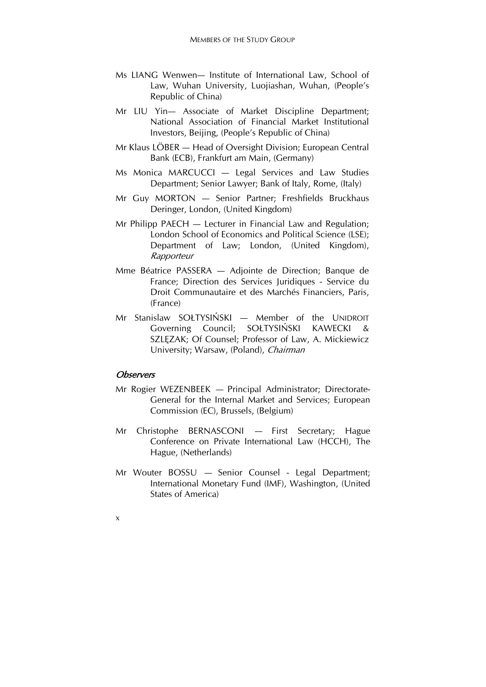- Ms LIANG Wenwen— Institute of International Law, School of Law, Wuhan University, Luojiashan, Wuhan, (People's Republic of China)
- Mr LIU Yin— Associate of Market Discipline Department; National Association of Financial Market Institutional Investors, Beijing, (People's Republic of China)
- Mr Klaus LÖBER Head of Oversight Division; European Central Bank (ECB), Frankfurt am Main, (Germany)
- Ms Monica MARCUCCI Legal Services and Law Studies Department; Senior Lawyer; Bank of Italy, Rome, (Italy)
- Mr Guy MORTON Senior Partner; Freshfields Bruckhaus Deringer, London, (United Kingdom)
- Mr Philipp PAECH Lecturer in Financial Law and Regulation; London School of Economics and Political Science (LSE); Department of Law; London, (United Kingdom), **Rapporteur**
- Mme Béatrice PASSERA Adjointe de Direction; Banque de France; Direction des Services Juridiques - Service du Droit Communautaire et des Marchés Financiers, Paris, (France)
- Mr Stanislaw SOŁTYSIŃSKI Member of the UNIDROIT Governing Council; SOŁTYSIŃSKI KAWECKI & SZLĘZAK; Of Counsel; Professor of Law, A. Mickiewicz University; Warsaw, (Poland), Chairman

#### **Observers**

- Mr Rogier WEZENBEEK Principal Administrator; Directorate-General for the Internal Market and Services; European Commission (EC), Brussels, (Belgium)
- Mr Christophe BERNASCONI First Secretary; Hague Conference on Private International Law (HCCH), The Hague, (Netherlands)
- Mr Wouter BOSSU Senior Counsel Legal Department; International Monetary Fund (IMF), Washington, (United States of America)
- x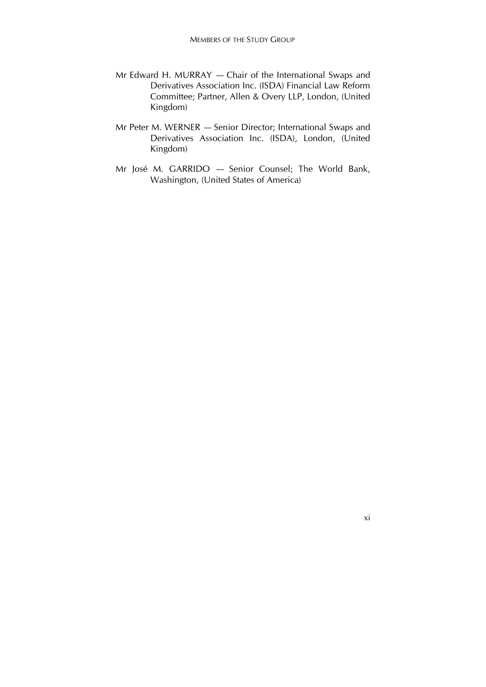- Mr Edward H. MURRAY Chair of the International Swaps and Derivatives Association Inc. (ISDA) Financial Law Reform Committee; Partner, Allen & Overy LLP, London, (United Kingdom)
- Mr Peter M. WERNER Senior Director; International Swaps and Derivatives Association Inc. (ISDA), London, (United Kingdom)
- Mr José M. GARRIDO Senior Counsel; The World Bank, Washington, (United States of America)

xi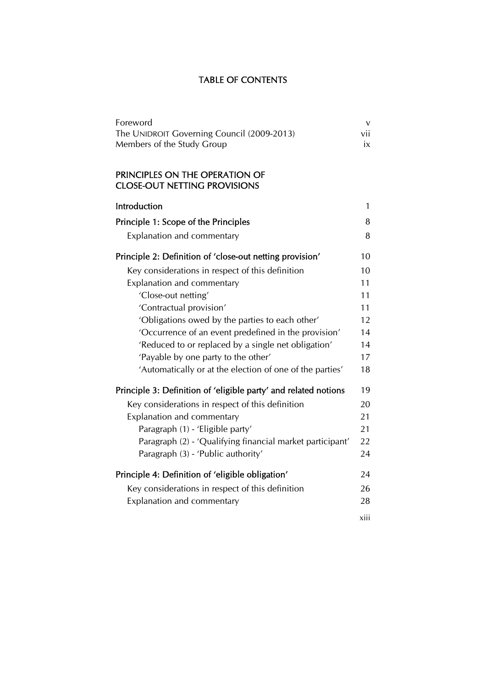# TABLE OF CONTENTS

| Foreword<br>The UNIDROIT Governing Council (2009-2013)<br>Members of the Study Group | V<br>vii<br>ix |
|--------------------------------------------------------------------------------------|----------------|
| PRINCIPLES ON THE OPERATION OF<br><b>CLOSE-OUT NETTING PROVISIONS</b>                |                |
| Introduction                                                                         | 1              |
| Principle 1: Scope of the Principles                                                 | 8              |
| Explanation and commentary                                                           | 8              |
| Principle 2: Definition of 'close-out netting provision'                             | 10             |
| Key considerations in respect of this definition                                     | 10             |
| Explanation and commentary                                                           | 11             |
| 'Close-out netting'                                                                  | 11             |
| 'Contractual provision'                                                              | 11             |
| 'Obligations owed by the parties to each other'                                      | 12             |
| 'Occurrence of an event predefined in the provision'                                 | 14             |
| 'Reduced to or replaced by a single net obligation'                                  | 14             |
| 'Payable by one party to the other'                                                  | 17             |
| 'Automatically or at the election of one of the parties'                             | 18             |
| Principle 3: Definition of 'eligible party' and related notions                      | 19             |
| Key considerations in respect of this definition                                     | 20             |
| Explanation and commentary                                                           | 21             |
| Paragraph (1) - 'Eligible party'                                                     | 21             |
| Paragraph (2) - 'Qualifying financial market participant'                            | 22             |
| Paragraph (3) - 'Public authority'                                                   | 24             |
| Principle 4: Definition of 'eligible obligation'                                     | 24             |
| Key considerations in respect of this definition                                     | 26             |
| Explanation and commentary                                                           | 28             |
|                                                                                      | xiii           |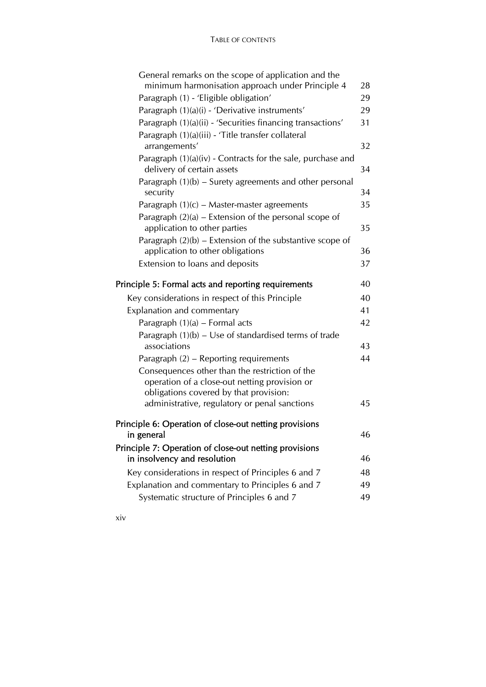| General remarks on the scope of application and the                                            |    |
|------------------------------------------------------------------------------------------------|----|
| minimum harmonisation approach under Principle 4                                               | 28 |
| Paragraph (1) - 'Eligible obligation'                                                          | 29 |
| Paragraph (1)(a)(i) - 'Derivative instruments'                                                 | 29 |
| Paragraph (1)(a)(ii) - 'Securities financing transactions'                                     | 31 |
| Paragraph (1)(a)(iii) - 'Title transfer collateral<br>arrangements'                            | 32 |
| Paragraph (1)(a)(iv) - Contracts for the sale, purchase and<br>delivery of certain assets      | 34 |
| Paragraph (1)(b) – Surety agreements and other personal<br>security                            | 34 |
| Paragraph $(1)(c)$ – Master-master agreements                                                  | 35 |
| Paragraph $(2)(a)$ – Extension of the personal scope of<br>application to other parties        | 35 |
| Paragraph $(2)(b)$ – Extension of the substantive scope of<br>application to other obligations | 36 |
| Extension to loans and deposits                                                                | 37 |
|                                                                                                |    |
| Principle 5: Formal acts and reporting requirements                                            | 40 |
| Key considerations in respect of this Principle                                                | 40 |
| Explanation and commentary                                                                     | 41 |
| Paragraph (1)(a) - Formal acts                                                                 | 42 |
| Paragraph $(1)(b)$ – Use of standardised terms of trade<br>associations                        | 43 |
| Paragraph $(2)$ – Reporting requirements                                                       | 44 |
| Consequences other than the restriction of the                                                 |    |
| operation of a close-out netting provision or                                                  |    |
| obligations covered by that provision:                                                         |    |
| administrative, regulatory or penal sanctions                                                  | 45 |
| Principle 6: Operation of close-out netting provisions                                         |    |
| in general                                                                                     | 46 |
| Principle 7: Operation of close-out netting provisions<br>in insolvency and resolution         | 46 |
| Key considerations in respect of Principles 6 and 7                                            | 48 |
| Explanation and commentary to Principles 6 and 7                                               | 49 |
| Systematic structure of Principles 6 and 7                                                     | 49 |

xiv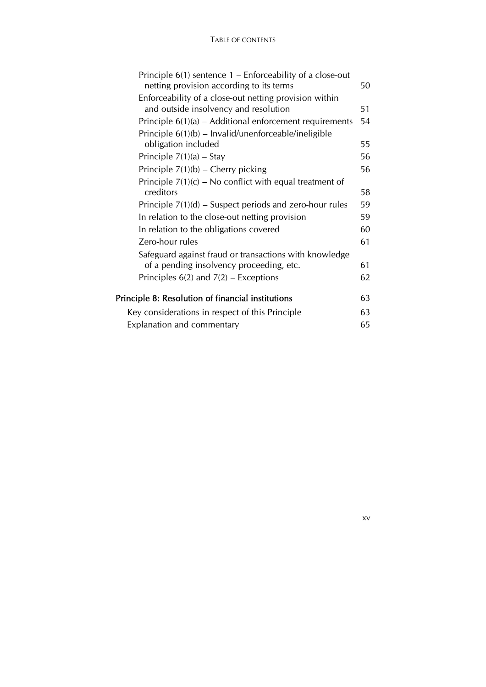#### TABLE OF CONTENTS

| Principle 6(1) sentence 1 – Enforceability of a close-out<br>netting provision according to its terms | 50 |
|-------------------------------------------------------------------------------------------------------|----|
| Enforceability of a close-out netting provision within                                                |    |
| and outside insolvency and resolution                                                                 | 51 |
| Principle $6(1)(a)$ – Additional enforcement requirements                                             | 54 |
| Principle $6(1)(b)$ – Invalid/unenforceable/ineligible                                                |    |
| obligation included                                                                                   | 55 |
| Principle $7(1)(a)$ – Stay                                                                            | 56 |
| Principle $7(1)(b)$ – Cherry picking                                                                  | 56 |
| Principle $7(1)(c)$ – No conflict with equal treatment of                                             |    |
| creditors                                                                                             | 58 |
| Principle $7(1)(d)$ – Suspect periods and zero-hour rules                                             | 59 |
| In relation to the close-out netting provision                                                        | 59 |
| In relation to the obligations covered                                                                | 60 |
| Zero-hour rules                                                                                       | 61 |
| Safeguard against fraud or transactions with knowledge                                                |    |
| of a pending insolvency proceeding, etc.                                                              | 61 |
| Principles $6(2)$ and $7(2)$ – Exceptions                                                             | 62 |
| Principle 8: Resolution of financial institutions                                                     | 63 |
|                                                                                                       |    |
| Key considerations in respect of this Principle                                                       | 63 |
| Explanation and commentary                                                                            | 65 |

xv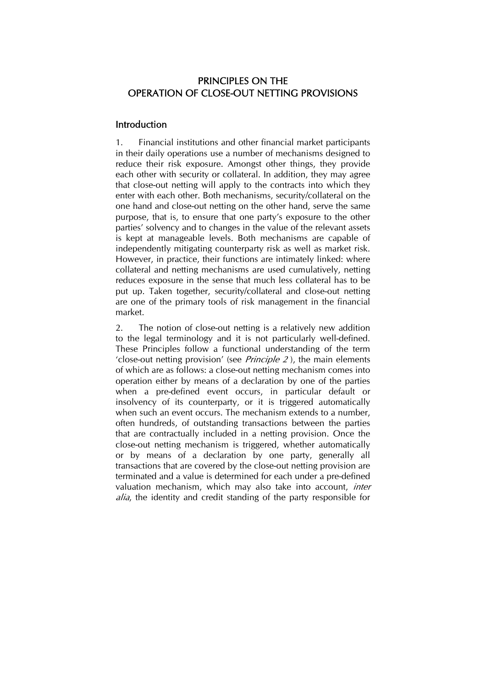# PRINCIPLES ON THE OPERATION OF CLOSE-OUT NETTING PROVISIONS

#### Introduction

1. Financial institutions and other financial market participants in their daily operations use a number of mechanisms designed to reduce their risk exposure. Amongst other things, they provide each other with security or collateral. In addition, they may agree that close-out netting will apply to the contracts into which they enter with each other. Both mechanisms, security/collateral on the one hand and close-out netting on the other hand, serve the same purpose, that is, to ensure that one party's exposure to the other parties' solvency and to changes in the value of the relevant assets is kept at manageable levels. Both mechanisms are capable of independently mitigating counterparty risk as well as market risk. However, in practice, their functions are intimately linked: where collateral and netting mechanisms are used cumulatively, netting reduces exposure in the sense that much less collateral has to be put up. Taken together, security/collateral and close-out netting are one of the primary tools of risk management in the financial market.

2. The notion of close-out netting is a relatively new addition to the legal terminology and it is not particularly well-defined. These Principles follow a functional understanding of the term 'close-out netting provision' (see Principle 2 ), the main elements of which are as follows: a close-out netting mechanism comes into operation either by means of a declaration by one of the parties when a pre-defined event occurs, in particular default or insolvency of its counterparty, or it is triggered automatically when such an event occurs. The mechanism extends to a number, often hundreds, of outstanding transactions between the parties that are contractually included in a netting provision. Once the close-out netting mechanism is triggered, whether automatically or by means of a declaration by one party, generally all transactions that are covered by the close-out netting provision are terminated and a value is determined for each under a pre-defined valuation mechanism, which may also take into account, *inter alia*, the identity and credit standing of the party responsible for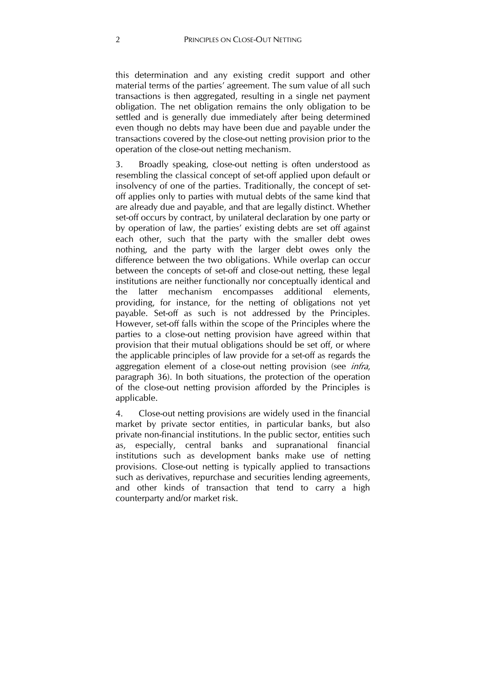this determination and any existing credit support and other material terms of the parties' agreement. The sum value of all such transactions is then aggregated, resulting in a single net payment obligation. The net obligation remains the only obligation to be settled and is generally due immediately after being determined even though no debts may have been due and payable under the transactions covered by the close-out netting provision prior to the operation of the close-out netting mechanism.

3. Broadly speaking, close-out netting is often understood as resembling the classical concept of set-off applied upon default or insolvency of one of the parties. Traditionally, the concept of setoff applies only to parties with mutual debts of the same kind that are already due and payable, and that are legally distinct. Whether set-off occurs by contract, by unilateral declaration by one party or by operation of law, the parties' existing debts are set off against each other, such that the party with the smaller debt owes nothing, and the party with the larger debt owes only the difference between the two obligations. While overlap can occur between the concepts of set-off and close-out netting, these legal institutions are neither functionally nor conceptually identical and the latter mechanism encompasses additional elements, providing, for instance, for the netting of obligations not yet payable. Set-off as such is not addressed by the Principles. However, set-off falls within the scope of the Principles where the parties to a close-out netting provision have agreed within that provision that their mutual obligations should be set off, or where the applicable principles of law provide for a set-off as regards the aggregation element of a close-out netting provision (see *infra*, paragraph 36). In both situations, the protection of the operation of the close-out netting provision afforded by the Principles is applicable.

4. Close-out netting provisions are widely used in the financial market by private sector entities, in particular banks, but also private non-financial institutions. In the public sector, entities such as, especially, central banks and supranational financial institutions such as development banks make use of netting provisions. Close-out netting is typically applied to transactions such as derivatives, repurchase and securities lending agreements, and other kinds of transaction that tend to carry a high counterparty and/or market risk.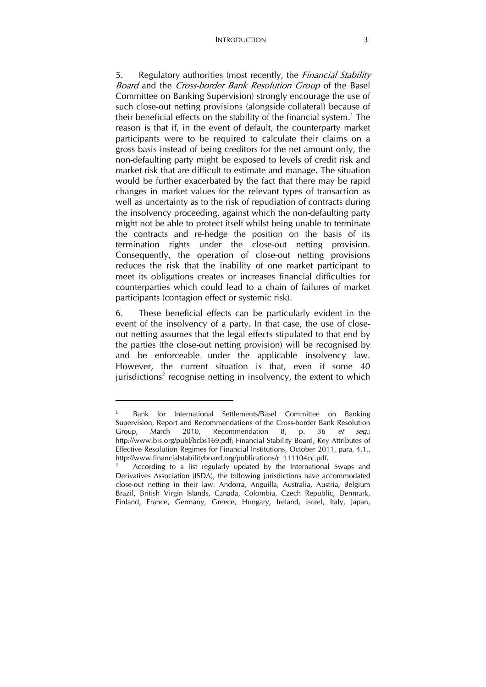#### INTRODUCTION 3

5. Regulatory authorities (most recently, the *Financial Stability* Board and the Cross-border Bank Resolution Group of the Basel Committee on Banking Supervision) strongly encourage the use of such close-out netting provisions (alongside collateral) because of their beneficial effects on the stability of the financial system.<sup>1</sup> The reason is that if, in the event of default, the counterparty market participants were to be required to calculate their claims on a gross basis instead of being creditors for the net amount only, the non-defaulting party might be exposed to levels of credit risk and market risk that are difficult to estimate and manage. The situation would be further exacerbated by the fact that there may be rapid changes in market values for the relevant types of transaction as well as uncertainty as to the risk of repudiation of contracts during the insolvency proceeding, against which the non-defaulting party might not be able to protect itself whilst being unable to terminate the contracts and re-hedge the position on the basis of its termination rights under the close-out netting provision. Consequently, the operation of close-out netting provisions reduces the risk that the inability of one market participant to meet its obligations creates or increases financial difficulties for counterparties which could lead to a chain of failures of market participants (contagion effect or systemic risk).

6. These beneficial effects can be particularly evident in the event of the insolvency of a party. In that case, the use of closeout netting assumes that the legal effects stipulated to that end by the parties (the close-out netting provision) will be recognised by and be enforceable under the applicable insolvency law. However, the current situation is that, even if some 40 jurisdictions<sup>2</sup> recognise netting in insolvency, the extent to which

<sup>1</sup> Bank for International Settlements/Basel Committee on Banking Supervision, Report and Recommendations of the Cross-border Bank Resolution Group, March 2010, Recommendation 8, p. 36 et seq.; http://www.bis.org/publ/bcbs169.pdf; Financial Stability Board, Key Attributes of Effective Resolution Regimes for Financial Institutions, October 2011, para. 4.1., http://www.financialstabilityboard.org/publications/r\_111104cc.pdf.

According to a list regularly updated by the International Swaps and Derivatives Association (ISDA), the following jurisdictions have accommodated close-out netting in their law: Andorra, Anguilla, Australia, Austria, Belgium Brazil, British Virgin Islands, Canada, Colombia, Czech Republic, Denmark, Finland, France, Germany, Greece, Hungary, Ireland, Israel, Italy, Japan,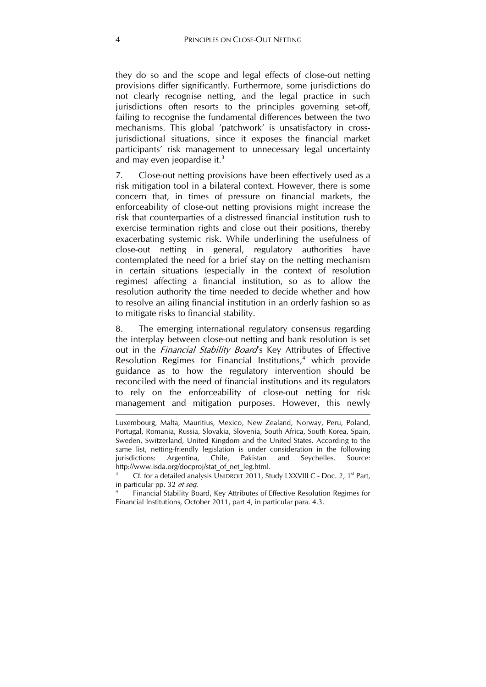they do so and the scope and legal effects of close-out netting provisions differ significantly. Furthermore, some jurisdictions do not clearly recognise netting, and the legal practice in such jurisdictions often resorts to the principles governing set-off, failing to recognise the fundamental differences between the two mechanisms. This global 'patchwork' is unsatisfactory in crossjurisdictional situations, since it exposes the financial market participants' risk management to unnecessary legal uncertainty and may even jeopardise it. $3$ 

7. Close-out netting provisions have been effectively used as a risk mitigation tool in a bilateral context. However, there is some concern that, in times of pressure on financial markets, the enforceability of close-out netting provisions might increase the risk that counterparties of a distressed financial institution rush to exercise termination rights and close out their positions, thereby exacerbating systemic risk. While underlining the usefulness of close-out netting in general, regulatory authorities have contemplated the need for a brief stay on the netting mechanism in certain situations (especially in the context of resolution regimes) affecting a financial institution, so as to allow the resolution authority the time needed to decide whether and how to resolve an ailing financial institution in an orderly fashion so as to mitigate risks to financial stability.

8. The emerging international regulatory consensus regarding the interplay between close-out netting and bank resolution is set out in the *Financial Stability Board's* Key Attributes of Effective Resolution Regimes for Financial Institutions,<sup>4</sup> which provide guidance as to how the regulatory intervention should be reconciled with the need of financial institutions and its regulators to rely on the enforceability of close-out netting for risk management and mitigation purposes. However, this newly

Luxembourg, Malta, Mauritius, Mexico, New Zealand, Norway, Peru, Poland, Portugal, Romania, Russia, Slovakia, Slovenia, South Africa, South Korea, Spain, Sweden, Switzerland, United Kingdom and the United States. According to the same list, netting-friendly legislation is under consideration in the following jurisdictions: Argentina, Chile, Pakistan and Seychelles. Source: http://www.isda.org/docproj/stat\_of\_net\_leg.html.

<sup>3</sup> Cf. for a detailed analysis UNIDROIT 2011, Study LXXVIII C - Doc. 2, 1<sup>st</sup> Part, in particular pp. 32 et seq.

<sup>4</sup> Financial Stability Board, Key Attributes of Effective Resolution Regimes for Financial Institutions, October 2011, part 4, in particular para. 4.3.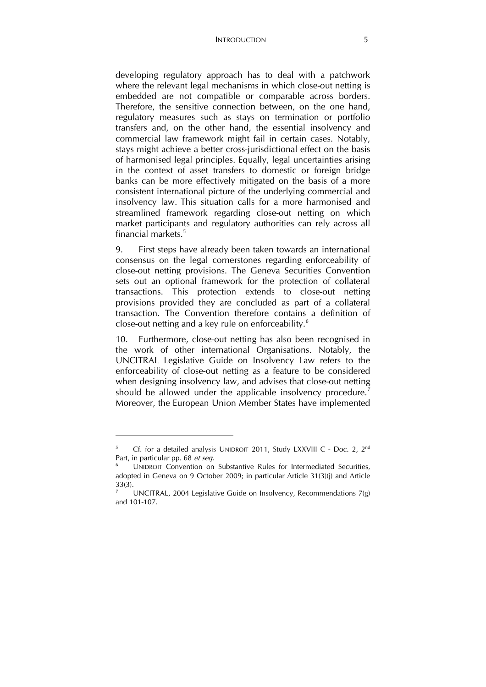developing regulatory approach has to deal with a patchwork where the relevant legal mechanisms in which close-out netting is embedded are not compatible or comparable across borders. Therefore, the sensitive connection between, on the one hand, regulatory measures such as stays on termination or portfolio transfers and, on the other hand, the essential insolvency and commercial law framework might fail in certain cases. Notably, stays might achieve a better cross-jurisdictional effect on the basis of harmonised legal principles. Equally, legal uncertainties arising in the context of asset transfers to domestic or foreign bridge banks can be more effectively mitigated on the basis of a more consistent international picture of the underlying commercial and insolvency law. This situation calls for a more harmonised and streamlined framework regarding close-out netting on which market participants and regulatory authorities can rely across all financial markets.5

9. First steps have already been taken towards an international consensus on the legal cornerstones regarding enforceability of close-out netting provisions. The Geneva Securities Convention sets out an optional framework for the protection of collateral transactions. This protection extends to close-out netting provisions provided they are concluded as part of a collateral transaction. The Convention therefore contains a definition of close-out netting and a key rule on enforceability.<sup>6</sup>

10. Furthermore, close-out netting has also been recognised in the work of other international Organisations. Notably, the UNCITRAL Legislative Guide on Insolvency Law refers to the enforceability of close-out netting as a feature to be considered when designing insolvency law, and advises that close-out netting should be allowed under the applicable insolvency procedure.<sup>7</sup> Moreover, the European Union Member States have implemented

<sup>5</sup> Cf. for a detailed analysis UNIDROIT 2011, Study LXXVIII C - Doc. 2, 2<sup>nd</sup> Part, in particular pp. 68 et seq.

<sup>6</sup> UNIDROIT Convention on Substantive Rules for Intermediated Securities, adopted in Geneva on 9 October 2009; in particular Article 31(3)(j) and Article 33(3).

<sup>7</sup> UNCITRAL, 2004 Legislative Guide on Insolvency, Recommendations 7(g) and 101-107.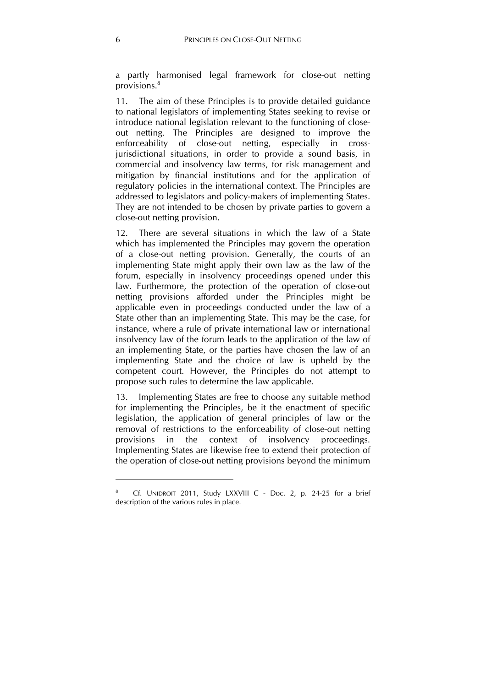a partly harmonised legal framework for close-out netting provisions.8

11. The aim of these Principles is to provide detailed guidance to national legislators of implementing States seeking to revise or introduce national legislation relevant to the functioning of closeout netting. The Principles are designed to improve the enforceability of close-out netting, especially in crossjurisdictional situations, in order to provide a sound basis, in commercial and insolvency law terms, for risk management and mitigation by financial institutions and for the application of regulatory policies in the international context. The Principles are addressed to legislators and policy-makers of implementing States. They are not intended to be chosen by private parties to govern a close-out netting provision.

12. There are several situations in which the law of a State which has implemented the Principles may govern the operation of a close-out netting provision. Generally, the courts of an implementing State might apply their own law as the law of the forum, especially in insolvency proceedings opened under this law. Furthermore, the protection of the operation of close-out netting provisions afforded under the Principles might be applicable even in proceedings conducted under the law of a State other than an implementing State. This may be the case, for instance, where a rule of private international law or international insolvency law of the forum leads to the application of the law of an implementing State, or the parties have chosen the law of an implementing State and the choice of law is upheld by the competent court. However, the Principles do not attempt to propose such rules to determine the law applicable.

13. Implementing States are free to choose any suitable method for implementing the Principles, be it the enactment of specific legislation, the application of general principles of law or the removal of restrictions to the enforceability of close-out netting provisions in the context of insolvency proceedings. Implementing States are likewise free to extend their protection of the operation of close-out netting provisions beyond the minimum

<sup>8</sup> Cf. UNIDROIT 2011, Study LXXVIII C - Doc. 2, p. 24-25 for a brief description of the various rules in place.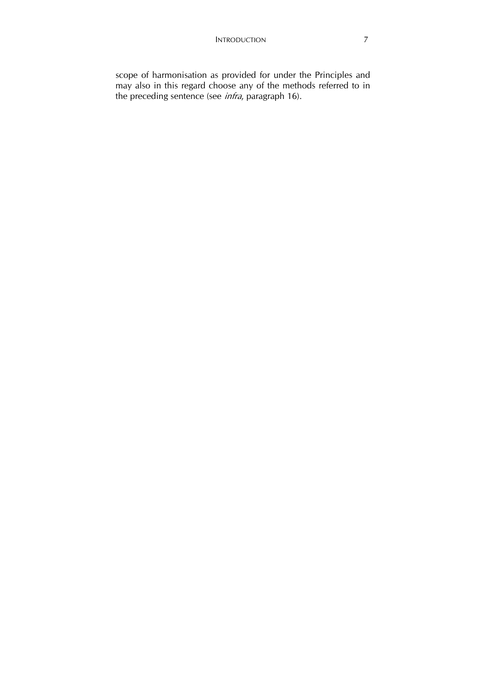scope of harmonisation as provided for under the Principles and may also in this regard choose any of the methods referred to in the preceding sentence (see *infra*, paragraph 16).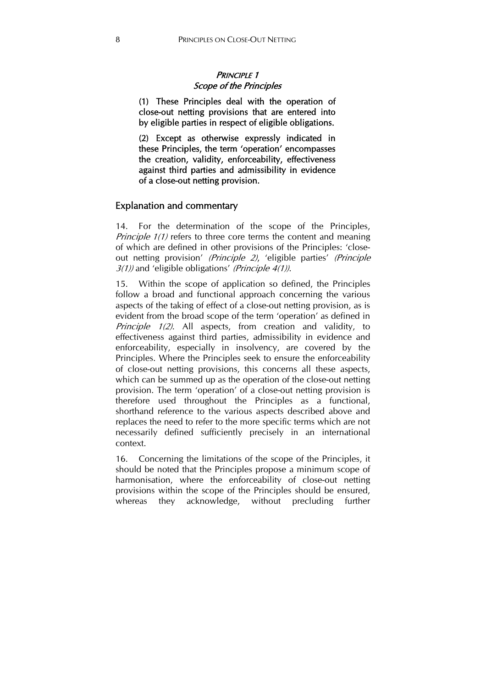#### PRINCIPLE 1 Scope of the Principles

(1) These Principles deal with the operation of close-out netting provisions that are entered into by eligible parties in respect of eligible obligations.

(2) Except as otherwise expressly indicated in these Principles, the term 'operation' encompasses the creation, validity, enforceability, effectiveness against third parties and admissibility in evidence of a close-out netting provision.

#### Explanation and commentary

14. For the determination of the scope of the Principles, *Principle 1(1)* refers to three core terms the content and meaning of which are defined in other provisions of the Principles: 'closeout netting provision' (Principle 2), 'eligible parties' (Principle  $3(1)$ ) and 'eligible obligations' (Principle 4(1)).

15. Within the scope of application so defined, the Principles follow a broad and functional approach concerning the various aspects of the taking of effect of a close-out netting provision, as is evident from the broad scope of the term 'operation' as defined in Principle 1(2). All aspects, from creation and validity, to effectiveness against third parties, admissibility in evidence and enforceability, especially in insolvency, are covered by the Principles. Where the Principles seek to ensure the enforceability of close-out netting provisions, this concerns all these aspects, which can be summed up as the operation of the close-out netting provision. The term 'operation' of a close-out netting provision is therefore used throughout the Principles as a functional, shorthand reference to the various aspects described above and replaces the need to refer to the more specific terms which are not necessarily defined sufficiently precisely in an international context.

16. Concerning the limitations of the scope of the Principles, it should be noted that the Principles propose a minimum scope of harmonisation, where the enforceability of close-out netting provisions within the scope of the Principles should be ensured, whereas they acknowledge, without precluding further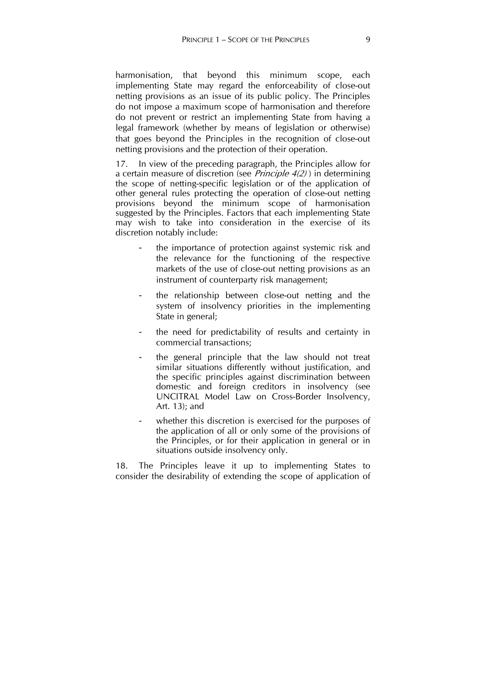harmonisation, that beyond this minimum scope, each implementing State may regard the enforceability of close-out netting provisions as an issue of its public policy. The Principles do not impose a maximum scope of harmonisation and therefore do not prevent or restrict an implementing State from having a legal framework (whether by means of legislation or otherwise) that goes beyond the Principles in the recognition of close-out netting provisions and the protection of their operation.

17. In view of the preceding paragraph, the Principles allow for a certain measure of discretion (see *Principle 4(2)*) in determining the scope of netting-specific legislation or of the application of other general rules protecting the operation of close-out netting provisions beyond the minimum scope of harmonisation suggested by the Principles. Factors that each implementing State may wish to take into consideration in the exercise of its discretion notably include:

- the importance of protection against systemic risk and the relevance for the functioning of the respective markets of the use of close-out netting provisions as an instrument of counterparty risk management;
- the relationship between close-out netting and the system of insolvency priorities in the implementing State in general;
- the need for predictability of results and certainty in commercial transactions;
- the general principle that the law should not treat similar situations differently without justification, and the specific principles against discrimination between domestic and foreign creditors in insolvency (see UNCITRAL Model Law on Cross-Border Insolvency, Art. 13); and
- whether this discretion is exercised for the purposes of the application of all or only some of the provisions of the Principles, or for their application in general or in situations outside insolvency only.

18. The Principles leave it up to implementing States to consider the desirability of extending the scope of application of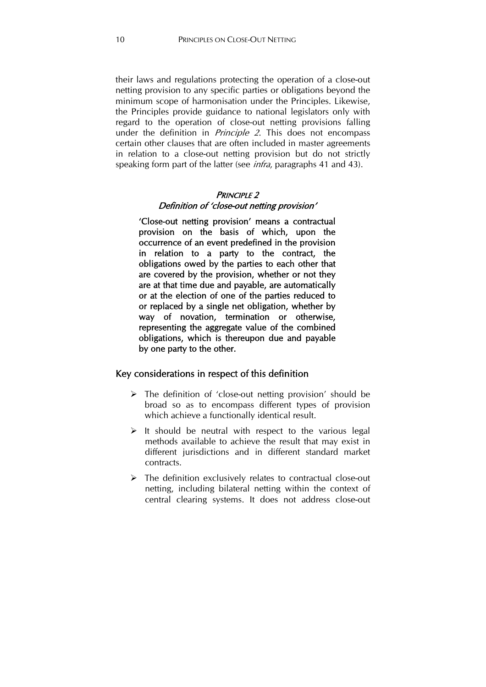their laws and regulations protecting the operation of a close-out netting provision to any specific parties or obligations beyond the minimum scope of harmonisation under the Principles. Likewise, the Principles provide guidance to national legislators only with regard to the operation of close-out netting provisions falling under the definition in *Principle 2*. This does not encompass certain other clauses that are often included in master agreements in relation to a close-out netting provision but do not strictly speaking form part of the latter (see *infra*, paragraphs 41 and 43).

#### PRINCIPLE<sub>2</sub>

#### Definition of 'close-out netting provision'

'Close-out netting provision' means a contractual provision on the basis of which, upon the occurrence of an event predefined in the provision in relation to a party to the contract, the obligations owed by the parties to each other that are covered by the provision, whether or not they are at that time due and payable, are automatically or at the election of one of the parties reduced to or replaced by a single net obligation, whether by way of novation, termination or otherwise, representing the aggregate value of the combined obligations, which is thereupon due and payable by one party to the other.

#### Key considerations in respect of this definition

- The definition of 'close-out netting provision' should be broad so as to encompass different types of provision which achieve a functionally identical result.
- $\triangleright$  It should be neutral with respect to the various legal methods available to achieve the result that may exist in different jurisdictions and in different standard market contracts.
- $\triangleright$  The definition exclusively relates to contractual close-out netting, including bilateral netting within the context of central clearing systems. It does not address close-out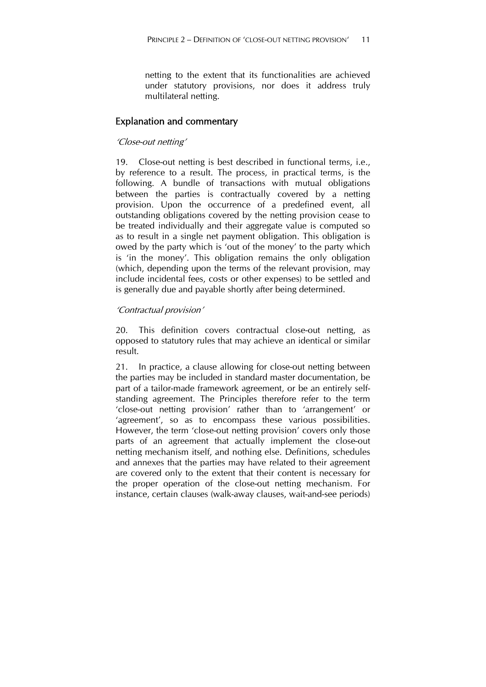netting to the extent that its functionalities are achieved under statutory provisions, nor does it address truly multilateral netting.

# Explanation and commentary

### 'Close-out netting'

19. Close-out netting is best described in functional terms, i.e., by reference to a result. The process, in practical terms, is the following. A bundle of transactions with mutual obligations between the parties is contractually covered by a netting provision. Upon the occurrence of a predefined event, all outstanding obligations covered by the netting provision cease to be treated individually and their aggregate value is computed so as to result in a single net payment obligation. This obligation is owed by the party which is 'out of the money' to the party which is 'in the money'. This obligation remains the only obligation (which, depending upon the terms of the relevant provision, may include incidental fees, costs or other expenses) to be settled and is generally due and payable shortly after being determined.

#### 'Contractual provision'

20. This definition covers contractual close-out netting, as opposed to statutory rules that may achieve an identical or similar result.

21. In practice, a clause allowing for close-out netting between the parties may be included in standard master documentation, be part of a tailor-made framework agreement, or be an entirely selfstanding agreement. The Principles therefore refer to the term 'close-out netting provision' rather than to 'arrangement' or 'agreement', so as to encompass these various possibilities. However, the term 'close-out netting provision' covers only those parts of an agreement that actually implement the close-out netting mechanism itself, and nothing else. Definitions, schedules and annexes that the parties may have related to their agreement are covered only to the extent that their content is necessary for the proper operation of the close-out netting mechanism. For instance, certain clauses (walk-away clauses, wait-and-see periods)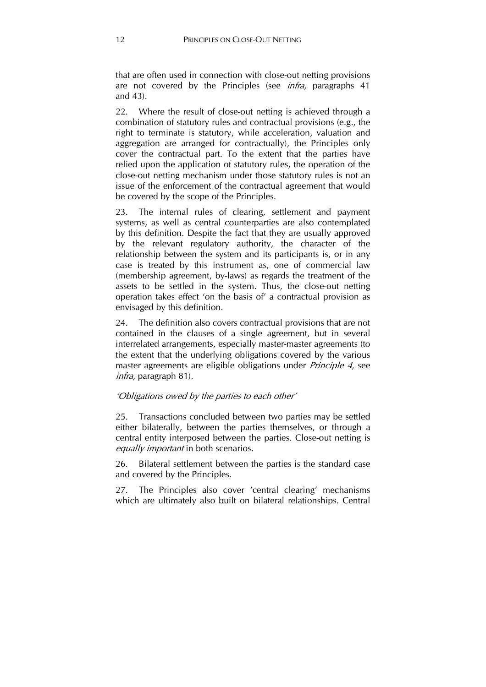that are often used in connection with close-out netting provisions are not covered by the Principles (see *infra*, paragraphs 41 and 43).

22. Where the result of close-out netting is achieved through a combination of statutory rules and contractual provisions (e.g., the right to terminate is statutory, while acceleration, valuation and aggregation are arranged for contractually), the Principles only cover the contractual part. To the extent that the parties have relied upon the application of statutory rules, the operation of the close-out netting mechanism under those statutory rules is not an issue of the enforcement of the contractual agreement that would be covered by the scope of the Principles.

23. The internal rules of clearing, settlement and payment systems, as well as central counterparties are also contemplated by this definition. Despite the fact that they are usually approved by the relevant regulatory authority, the character of the relationship between the system and its participants is, or in any case is treated by this instrument as, one of commercial law (membership agreement, by-laws) as regards the treatment of the assets to be settled in the system. Thus, the close-out netting operation takes effect 'on the basis of' a contractual provision as envisaged by this definition.

24. The definition also covers contractual provisions that are not contained in the clauses of a single agreement, but in several interrelated arrangements, especially master-master agreements (to the extent that the underlying obligations covered by the various master agreements are eligible obligations under Principle 4, see infra, paragraph 81).

#### 'Obligations owed by the parties to each other'

25. Transactions concluded between two parties may be settled either bilaterally, between the parties themselves, or through a central entity interposed between the parties. Close-out netting is equally *important* in both scenarios.

26. Bilateral settlement between the parties is the standard case and covered by the Principles.

27. The Principles also cover 'central clearing' mechanisms which are ultimately also built on bilateral relationships. Central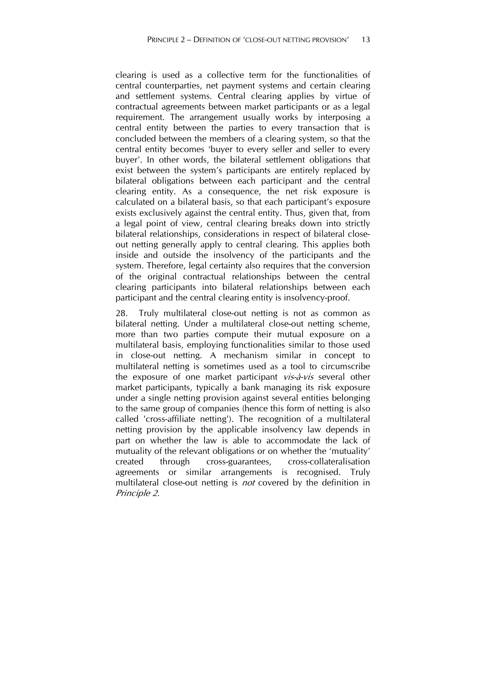clearing is used as a collective term for the functionalities of central counterparties, net payment systems and certain clearing and settlement systems. Central clearing applies by virtue of contractual agreements between market participants or as a legal requirement. The arrangement usually works by interposing a central entity between the parties to every transaction that is concluded between the members of a clearing system, so that the central entity becomes 'buyer to every seller and seller to every buyer'. In other words, the bilateral settlement obligations that exist between the system's participants are entirely replaced by bilateral obligations between each participant and the central clearing entity. As a consequence, the net risk exposure is calculated on a bilateral basis, so that each participant's exposure exists exclusively against the central entity. Thus, given that, from a legal point of view, central clearing breaks down into strictly bilateral relationships, considerations in respect of bilateral closeout netting generally apply to central clearing. This applies both inside and outside the insolvency of the participants and the system. Therefore, legal certainty also requires that the conversion of the original contractual relationships between the central clearing participants into bilateral relationships between each participant and the central clearing entity is insolvency-proof.

28. Truly multilateral close-out netting is not as common as bilateral netting. Under a multilateral close-out netting scheme, more than two parties compute their mutual exposure on a multilateral basis, employing functionalities similar to those used in close-out netting. A mechanism similar in concept to multilateral netting is sometimes used as a tool to circumscribe the exposure of one market participant *vis-à-vis* several other market participants, typically a bank managing its risk exposure under a single netting provision against several entities belonging to the same group of companies (hence this form of netting is also called 'cross-affiliate netting'). The recognition of a multilateral netting provision by the applicable insolvency law depends in part on whether the law is able to accommodate the lack of mutuality of the relevant obligations or on whether the 'mutuality' created through cross-guarantees, cross-collateralisation agreements or similar arrangements is recognised. Truly multilateral close-out netting is *not* covered by the definition in Principle 2.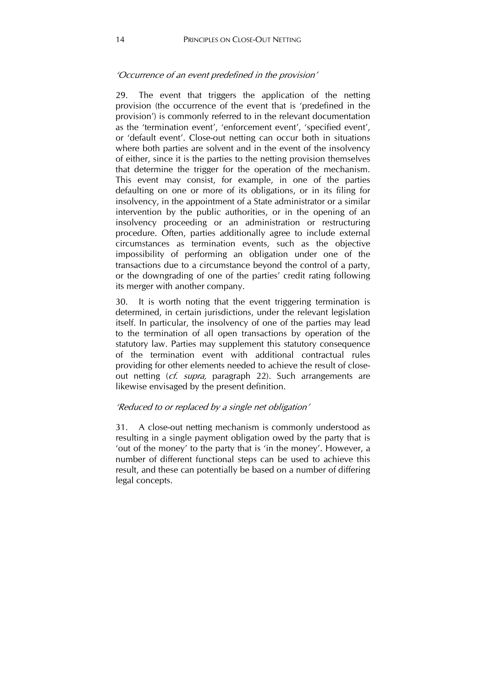#### 'Occurrence of an event predefined in the provision'

29. The event that triggers the application of the netting provision (the occurrence of the event that is 'predefined in the provision') is commonly referred to in the relevant documentation as the 'termination event', 'enforcement event', 'specified event', or 'default event'. Close-out netting can occur both in situations where both parties are solvent and in the event of the insolvency of either, since it is the parties to the netting provision themselves that determine the trigger for the operation of the mechanism. This event may consist, for example, in one of the parties defaulting on one or more of its obligations, or in its filing for insolvency, in the appointment of a State administrator or a similar intervention by the public authorities, or in the opening of an insolvency proceeding or an administration or restructuring procedure. Often, parties additionally agree to include external circumstances as termination events, such as the objective impossibility of performing an obligation under one of the transactions due to a circumstance beyond the control of a party, or the downgrading of one of the parties' credit rating following its merger with another company.

30. It is worth noting that the event triggering termination is determined, in certain jurisdictions, under the relevant legislation itself. In particular, the insolvency of one of the parties may lead to the termination of all open transactions by operation of the statutory law. Parties may supplement this statutory consequence of the termination event with additional contractual rules providing for other elements needed to achieve the result of closeout netting (*cf. supra*, paragraph 22). Such arrangements are likewise envisaged by the present definition.

#### 'Reduced to or replaced by a single net obligation'

31. A close-out netting mechanism is commonly understood as resulting in a single payment obligation owed by the party that is 'out of the money' to the party that is 'in the money'. However, a number of different functional steps can be used to achieve this result, and these can potentially be based on a number of differing legal concepts.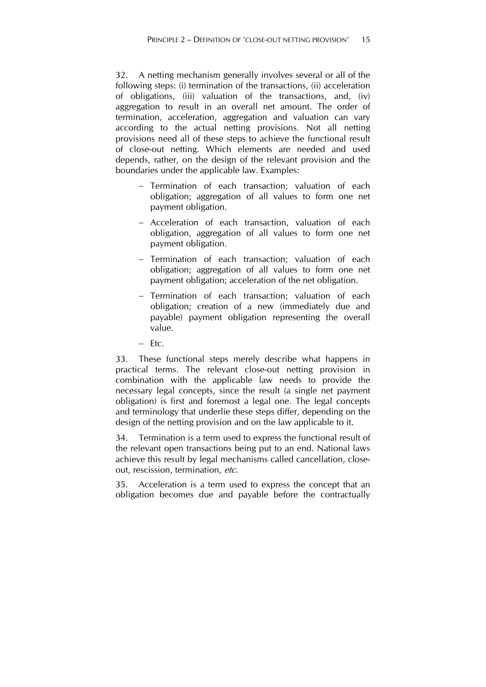32. A netting mechanism generally involves several or all of the following steps: (i) termination of the transactions, (ii) acceleration of obligations, (iii) valuation of the transactions, and, (iv) aggregation to result in an overall net amount. The order of termination, acceleration, aggregation and valuation can vary according to the actual netting provisions. Not all netting provisions need all of these steps to achieve the functional result of close-out netting. Which elements are needed and used depends, rather, on the design of the relevant provision and the boundaries under the applicable law. Examples:

- Termination of each transaction; valuation of each obligation; aggregation of all values to form one net payment obligation.
- Acceleration of each transaction, valuation of each obligation, aggregation of all values to form one net payment obligation.
- Termination of each transaction; valuation of each obligation; aggregation of all values to form one net payment obligation; acceleration of the net obligation.
- Termination of each transaction; valuation of each obligation; creation of a new (immediately due and payable) payment obligation representing the overall value.
- $-$  Etc.

33. These functional steps merely describe what happens in practical terms. The relevant close-out netting provision in combination with the applicable law needs to provide the necessary legal concepts, since the result (a single net payment obligation) is first and foremost a legal one. The legal concepts and terminology that underlie these steps differ, depending on the design of the netting provision and on the law applicable to it.

34. Termination is a term used to express the functional result of the relevant open transactions being put to an end. National laws achieve this result by legal mechanisms called cancellation, closeout, rescission, termination, etc.

35. Acceleration is a term used to express the concept that an obligation becomes due and payable before the contractually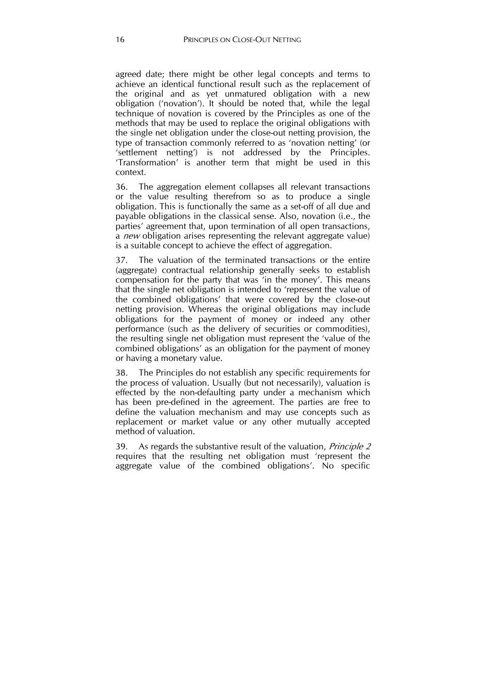agreed date; there might be other legal concepts and terms to achieve an identical functional result such as the replacement of the original and as yet unmatured obligation with a new obligation ('novation'). It should be noted that, while the legal technique of novation is covered by the Principles as one of the methods that may be used to replace the original obligations with the single net obligation under the close-out netting provision, the type of transaction commonly referred to as 'novation netting' (or 'settlement netting') is not addressed by the Principles. 'Transformation' is another term that might be used in this context.

36. The aggregation element collapses all relevant transactions or the value resulting therefrom so as to produce a single obligation. This is functionally the same as a set-off of all due and payable obligations in the classical sense. Also, novation (i.e., the parties' agreement that, upon termination of all open transactions, a *new* obligation arises representing the relevant aggregate value) is a suitable concept to achieve the effect of aggregation.

37. The valuation of the terminated transactions or the entire (aggregate) contractual relationship generally seeks to establish compensation for the party that was 'in the money'. This means that the single net obligation is intended to 'represent the value of the combined obligations' that were covered by the close-out netting provision. Whereas the original obligations may include obligations for the payment of money or indeed any other performance (such as the delivery of securities or commodities), the resulting single net obligation must represent the 'value of the combined obligations' as an obligation for the payment of money or having a monetary value.

38. The Principles do not establish any specific requirements for the process of valuation. Usually (but not necessarily), valuation is effected by the non-defaulting party under a mechanism which has been pre-defined in the agreement. The parties are free to define the valuation mechanism and may use concepts such as replacement or market value or any other mutually accepted method of valuation.

39. As regards the substantive result of the valuation, *Principle 2* requires that the resulting net obligation must 'represent the aggregate value of the combined obligations'. No specific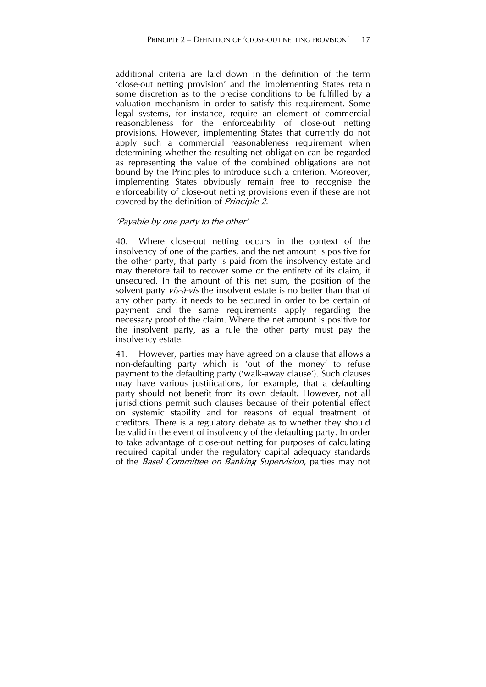additional criteria are laid down in the definition of the term 'close-out netting provision' and the implementing States retain some discretion as to the precise conditions to be fulfilled by a valuation mechanism in order to satisfy this requirement. Some legal systems, for instance, require an element of commercial reasonableness for the enforceability of close-out netting provisions. However, implementing States that currently do not apply such a commercial reasonableness requirement when determining whether the resulting net obligation can be regarded as representing the value of the combined obligations are not bound by the Principles to introduce such a criterion. Moreover, implementing States obviously remain free to recognise the enforceability of close-out netting provisions even if these are not covered by the definition of Principle 2.

#### 'Payable by one party to the other'

40. Where close-out netting occurs in the context of the insolvency of one of the parties, and the net amount is positive for the other party, that party is paid from the insolvency estate and may therefore fail to recover some or the entirety of its claim, if unsecured. In the amount of this net sum, the position of the solvent party *vis-à-vis* the insolvent estate is no better than that of any other party: it needs to be secured in order to be certain of payment and the same requirements apply regarding the necessary proof of the claim. Where the net amount is positive for the insolvent party, as a rule the other party must pay the insolvency estate.

41. However, parties may have agreed on a clause that allows a non-defaulting party which is 'out of the money' to refuse payment to the defaulting party ('walk-away clause'). Such clauses may have various justifications, for example, that a defaulting party should not benefit from its own default. However, not all jurisdictions permit such clauses because of their potential effect on systemic stability and for reasons of equal treatment of creditors. There is a regulatory debate as to whether they should be valid in the event of insolvency of the defaulting party. In order to take advantage of close-out netting for purposes of calculating required capital under the regulatory capital adequacy standards of the Basel Committee on Banking Supervision, parties may not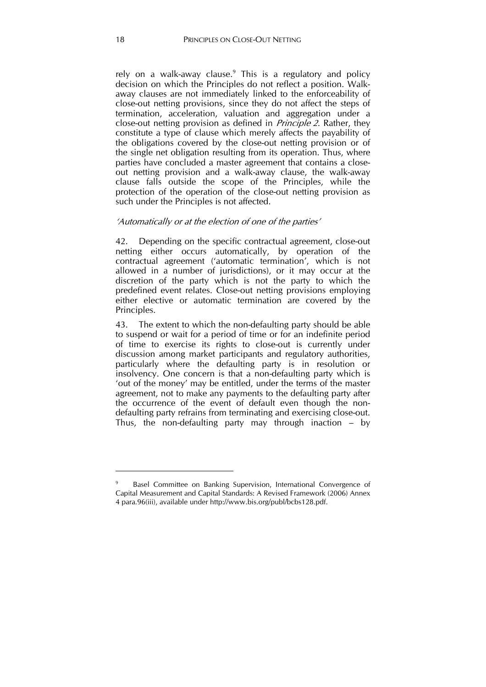rely on a walk-away clause.<sup>9</sup> This is a regulatory and policy decision on which the Principles do not reflect a position. Walkaway clauses are not immediately linked to the enforceability of close-out netting provisions, since they do not affect the steps of termination, acceleration, valuation and aggregation under a close-out netting provision as defined in Principle 2. Rather, they constitute a type of clause which merely affects the payability of the obligations covered by the close-out netting provision or of the single net obligation resulting from its operation. Thus, where parties have concluded a master agreement that contains a closeout netting provision and a walk-away clause, the walk-away clause falls outside the scope of the Principles, while the protection of the operation of the close-out netting provision as such under the Principles is not affected.

#### 'Automatically or at the election of one of the parties'

42. Depending on the specific contractual agreement, close-out netting either occurs automatically, by operation of the contractual agreement ('automatic termination', which is not allowed in a number of jurisdictions), or it may occur at the discretion of the party which is not the party to which the predefined event relates. Close-out netting provisions employing either elective or automatic termination are covered by the Principles.

43. The extent to which the non-defaulting party should be able to suspend or wait for a period of time or for an indefinite period of time to exercise its rights to close-out is currently under discussion among market participants and regulatory authorities, particularly where the defaulting party is in resolution or insolvency. One concern is that a non-defaulting party which is 'out of the money' may be entitled, under the terms of the master agreement, not to make any payments to the defaulting party after the occurrence of the event of default even though the nondefaulting party refrains from terminating and exercising close-out. Thus, the non-defaulting party may through inaction – by

<sup>9</sup> Basel Committee on Banking Supervision, International Convergence of Capital Measurement and Capital Standards: A Revised Framework (2006) Annex 4 para.96(iii), available under http://www.bis.org/publ/bcbs128.pdf.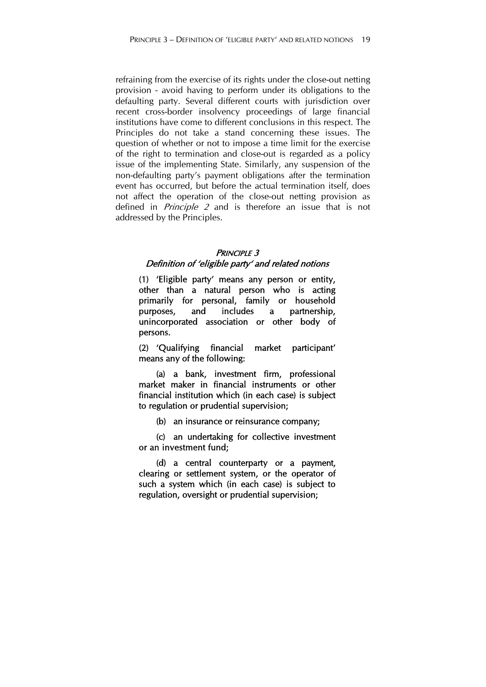refraining from the exercise of its rights under the close-out netting provision - avoid having to perform under its obligations to the defaulting party. Several different courts with jurisdiction over recent cross-border insolvency proceedings of large financial institutions have come to different conclusions in this respect. The Principles do not take a stand concerning these issues. The question of whether or not to impose a time limit for the exercise of the right to termination and close-out is regarded as a policy issue of the implementing State. Similarly, any suspension of the non-defaulting party's payment obligations after the termination event has occurred, but before the actual termination itself, does not affect the operation of the close-out netting provision as defined in *Principle 2* and is therefore an issue that is not addressed by the Principles.

#### PRINCIPLE 3

#### Definition of 'eligible party' and related notions

(1) 'Eligible party' means any person or entity, other than a natural person who is acting primarily for personal, family or household purposes, and includes a partnership, unincorporated association or other body of persons.

(2) 'Qualifying financial market participant' means any of the following:

(a) a bank, investment firm, professional market maker in financial instruments or other financial institution which (in each case) is subject to regulation or prudential supervision;

(b) an insurance or reinsurance company;

(c) an undertaking for collective investment or an investment fund;

(d) a central counterparty or a payment, clearing or settlement system, or the operator of such a system which (in each case) is subject to regulation, oversight or prudential supervision;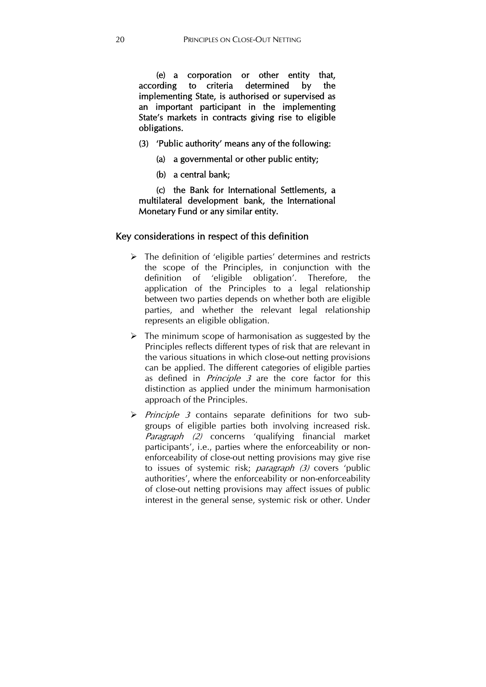(e) a corporation or other entity that, according to criteria determined by the implementing State, is authorised or supervised as an important participant in the implementing State's markets in contracts giving rise to eligible obligations.

- (3) 'Public authority' means any of the following:
	- (a) a governmental or other public entity;
	- (b) a central bank;

(c) the Bank for International Settlements, a multilateral development bank, the International Monetary Fund or any similar entity.

#### Key considerations in respect of this definition

- $\triangleright$  The definition of 'eligible parties' determines and restricts the scope of the Principles, in conjunction with the definition of 'eligible obligation'. Therefore, the application of the Principles to a legal relationship between two parties depends on whether both are eligible parties, and whether the relevant legal relationship represents an eligible obligation.
- $\triangleright$  The minimum scope of harmonisation as suggested by the Principles reflects different types of risk that are relevant in the various situations in which close-out netting provisions can be applied. The different categories of eligible parties as defined in Principle 3 are the core factor for this distinction as applied under the minimum harmonisation approach of the Principles.
- $\triangleright$  Principle 3 contains separate definitions for two subgroups of eligible parties both involving increased risk. Paragraph (2) concerns 'qualifying financial market participants', i.e., parties where the enforceability or nonenforceability of close-out netting provisions may give rise to issues of systemic risk; *paragraph (3)* covers 'public authorities', where the enforceability or non-enforceability of close-out netting provisions may affect issues of public interest in the general sense, systemic risk or other. Under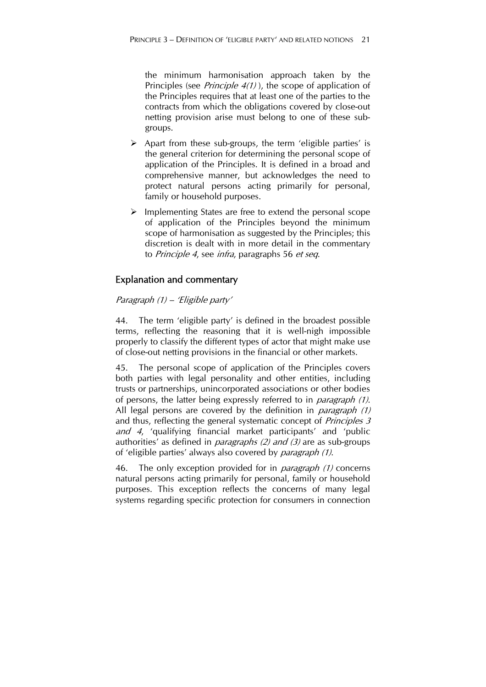the minimum harmonisation approach taken by the Principles (see *Principle 4(1)*), the scope of application of the Principles requires that at least one of the parties to the contracts from which the obligations covered by close-out netting provision arise must belong to one of these subgroups.

- $\triangleright$  Apart from these sub-groups, the term 'eligible parties' is the general criterion for determining the personal scope of application of the Principles. It is defined in a broad and comprehensive manner, but acknowledges the need to protect natural persons acting primarily for personal, family or household purposes.
- $\triangleright$  Implementing States are free to extend the personal scope of application of the Principles beyond the minimum scope of harmonisation as suggested by the Principles; this discretion is dealt with in more detail in the commentary to Principle 4, see infra, paragraphs 56 et seq.

# Explanation and commentary

#### Paragraph (1) – 'Eligible party'

44. The term 'eligible party' is defined in the broadest possible terms, reflecting the reasoning that it is well-nigh impossible properly to classify the different types of actor that might make use of close-out netting provisions in the financial or other markets.

45. The personal scope of application of the Principles covers both parties with legal personality and other entities, including trusts or partnerships, unincorporated associations or other bodies of persons, the latter being expressly referred to in paragraph (1). All legal persons are covered by the definition in *paragraph*  $(1)$ and thus, reflecting the general systematic concept of *Principles 3* and 4, 'qualifying financial market participants' and 'public authorities' as defined in *paragraphs (2) and (3)* are as sub-groups of 'eligible parties' always also covered by paragraph (1).

46. The only exception provided for in *paragraph (1)* concerns natural persons acting primarily for personal, family or household purposes. This exception reflects the concerns of many legal systems regarding specific protection for consumers in connection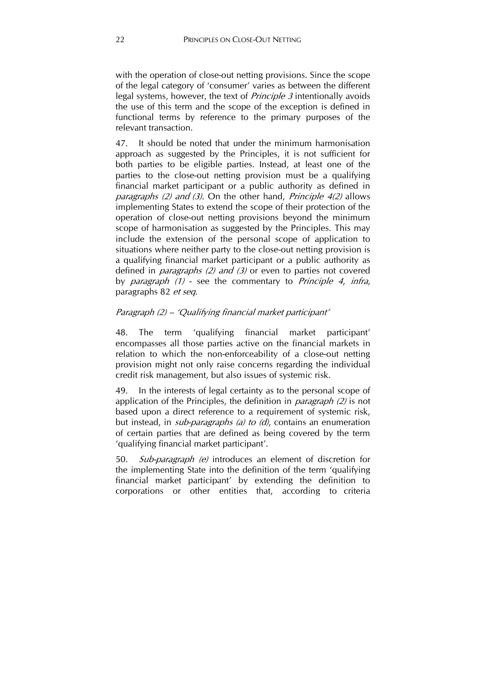with the operation of close-out netting provisions. Since the scope of the legal category of 'consumer' varies as between the different legal systems, however, the text of *Principle 3* intentionally avoids the use of this term and the scope of the exception is defined in functional terms by reference to the primary purposes of the relevant transaction.

47. It should be noted that under the minimum harmonisation approach as suggested by the Principles, it is not sufficient for both parties to be eligible parties. Instead, at least one of the parties to the close-out netting provision must be a qualifying financial market participant or a public authority as defined in *paragraphs (2) and (3)*. On the other hand, *Principle 4(2)* allows implementing States to extend the scope of their protection of the operation of close-out netting provisions beyond the minimum scope of harmonisation as suggested by the Principles. This may include the extension of the personal scope of application to situations where neither party to the close-out netting provision is a qualifying financial market participant or a public authority as defined in *paragraphs (2) and (3)* or even to parties not covered by *paragraph*  $(1)$  - see the commentary to *Principle 4, infra,* paragraphs 82 et seq.

# Paragraph (2) – 'Qualifying financial market participant'

48. The term 'qualifying financial market participant' encompasses all those parties active on the financial markets in relation to which the non-enforceability of a close-out netting provision might not only raise concerns regarding the individual credit risk management, but also issues of systemic risk.

49. In the interests of legal certainty as to the personal scope of application of the Principles, the definition in *paragraph (2)* is not based upon a direct reference to a requirement of systemic risk, but instead, in *sub-paragraphs (a) to (d)*, contains an enumeration of certain parties that are defined as being covered by the term 'qualifying financial market participant'.

50. Sub-paragraph (e) introduces an element of discretion for the implementing State into the definition of the term 'qualifying financial market participant' by extending the definition to corporations or other entities that, according to criteria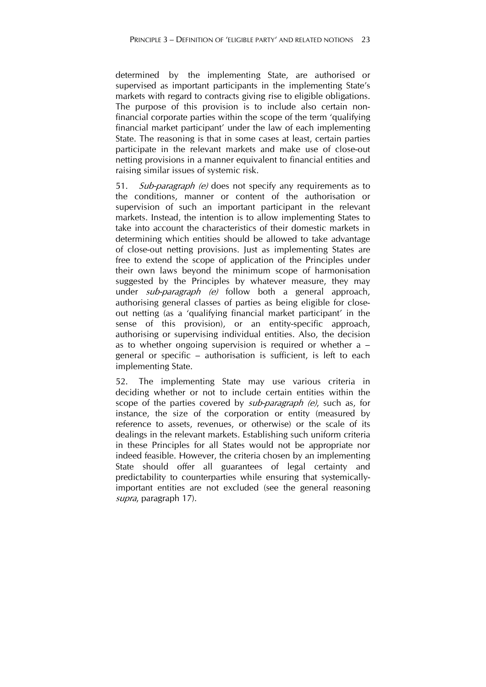determined by the implementing State, are authorised or supervised as important participants in the implementing State's markets with regard to contracts giving rise to eligible obligations. The purpose of this provision is to include also certain nonfinancial corporate parties within the scope of the term 'qualifying financial market participant' under the law of each implementing State. The reasoning is that in some cases at least, certain parties participate in the relevant markets and make use of close-out netting provisions in a manner equivalent to financial entities and raising similar issues of systemic risk.

51. Sub-paragraph (e) does not specify any requirements as to the conditions, manner or content of the authorisation or supervision of such an important participant in the relevant markets. Instead, the intention is to allow implementing States to take into account the characteristics of their domestic markets in determining which entities should be allowed to take advantage of close-out netting provisions. Just as implementing States are free to extend the scope of application of the Principles under their own laws beyond the minimum scope of harmonisation suggested by the Principles by whatever measure, they may under *sub-paragraph (e)* follow both a general approach, authorising general classes of parties as being eligible for closeout netting (as a 'qualifying financial market participant' in the sense of this provision), or an entity-specific approach, authorising or supervising individual entities. Also, the decision as to whether ongoing supervision is required or whether a – general or specific – authorisation is sufficient, is left to each implementing State.

52. The implementing State may use various criteria in deciding whether or not to include certain entities within the scope of the parties covered by *sub-paragraph (e)*, such as, for instance, the size of the corporation or entity (measured by reference to assets, revenues, or otherwise) or the scale of its dealings in the relevant markets. Establishing such uniform criteria in these Principles for all States would not be appropriate nor indeed feasible. However, the criteria chosen by an implementing State should offer all guarantees of legal certainty and predictability to counterparties while ensuring that systemicallyimportant entities are not excluded (see the general reasoning supra, paragraph 17).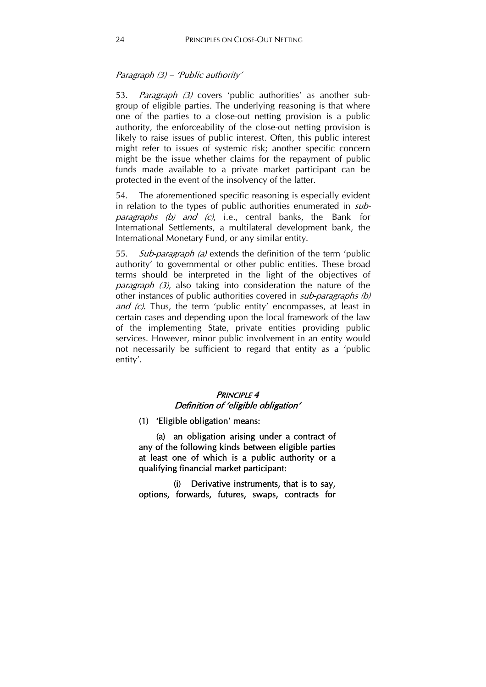### Paragraph  $(3)$  – 'Public authority'

53. Paragraph (3) covers 'public authorities' as another subgroup of eligible parties. The underlying reasoning is that where one of the parties to a close-out netting provision is a public authority, the enforceability of the close-out netting provision is likely to raise issues of public interest. Often, this public interest might refer to issues of systemic risk; another specific concern might be the issue whether claims for the repayment of public funds made available to a private market participant can be protected in the event of the insolvency of the latter.

54. The aforementioned specific reasoning is especially evident in relation to the types of public authorities enumerated in *subparagraphs (b) and (c)*, i.e., central banks, the Bank for International Settlements, a multilateral development bank, the International Monetary Fund, or any similar entity.

55. Sub-paragraph (a) extends the definition of the term 'public authority' to governmental or other public entities. These broad terms should be interpreted in the light of the objectives of paragraph (3), also taking into consideration the nature of the other instances of public authorities covered in *sub-paragraphs (b)* and (c). Thus, the term 'public entity' encompasses, at least in certain cases and depending upon the local framework of the law of the implementing State, private entities providing public services. However, minor public involvement in an entity would not necessarily be sufficient to regard that entity as a 'public entity'.

### PRINCIPLE 4 Definition of 'eligible obligation'

(1) 'Eligible obligation' means:

 (a) an obligation arising under a contract of any of the following kinds between eligible parties at least one of which is a public authority or a qualifying financial market participant:

 (i) Derivative instruments, that is to say, options, forwards, futures, swaps, contracts for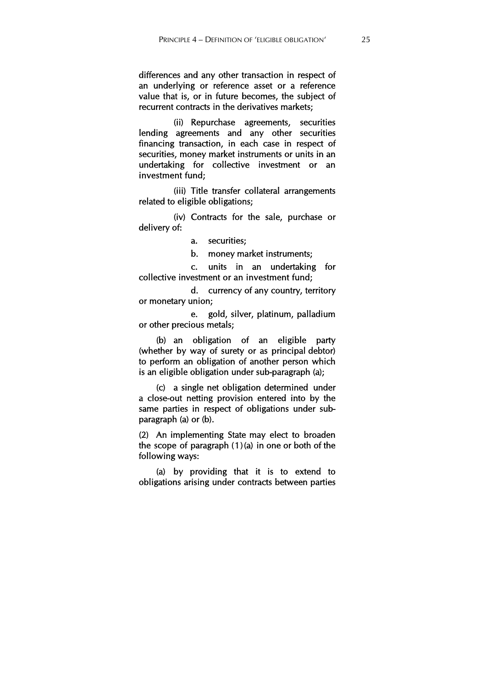differences and any other transaction in respect of an underlying or reference asset or a reference value that is, or in future becomes, the subject of recurrent contracts in the derivatives markets;

 (ii) Repurchase agreements, securities lending agreements and any other securities financing transaction, in each case in respect of securities, money market instruments or units in an undertaking for collective investment or an investment fund;

(iii) Title transfer collateral arrangements related to eligible obligations;

(iv) Contracts for the sale, purchase or delivery of:

a. securities;

b. money market instruments;

c. units in an undertaking for collective investment or an investment fund;

d. currency of any country, territory or monetary union;

e. gold, silver, platinum, palladium or other precious metals;

(b) an obligation of an eligible party (whether by way of surety or as principal debtor) to perform an obligation of another person which is an eligible obligation under sub-paragraph (a);

(c) a single net obligation determined under a close-out netting provision entered into by the same parties in respect of obligations under subparagraph (a) or (b).

(2) An implementing State may elect to broaden the scope of paragraph  $(1)(a)$  in one or both of the following ways:

(a) by providing that it is to extend to obligations arising under contracts between parties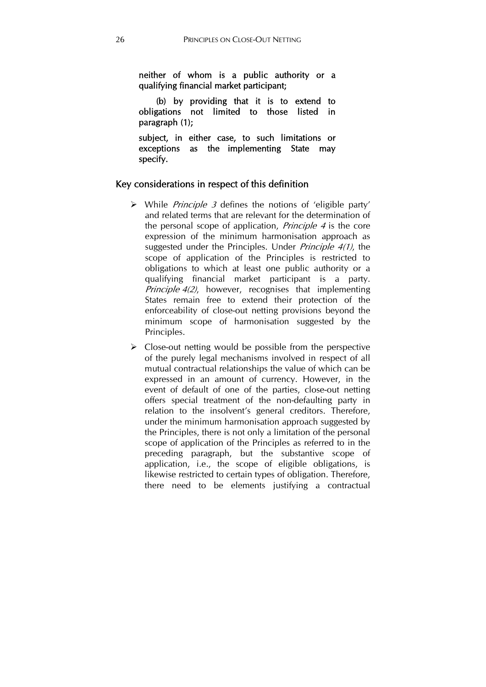neither of whom is a public authority or a qualifying financial market participant;

(b) by providing that it is to extend to obligations not limited to those listed in paragraph (1);

subject, in either case, to such limitations or exceptions as the implementing State may specify.

# Key considerations in respect of this definition

- $\triangleright$  While *Principle 3* defines the notions of 'eligible party' and related terms that are relevant for the determination of the personal scope of application, *Principle 4* is the core expression of the minimum harmonisation approach as suggested under the Principles. Under Principle 4(1), the scope of application of the Principles is restricted to obligations to which at least one public authority or a qualifying financial market participant is a party. Principle 4(2), however, recognises that implementing States remain free to extend their protection of the enforceability of close-out netting provisions beyond the minimum scope of harmonisation suggested by the Principles.
- $\triangleright$  Close-out netting would be possible from the perspective of the purely legal mechanisms involved in respect of all mutual contractual relationships the value of which can be expressed in an amount of currency. However, in the event of default of one of the parties, close-out netting offers special treatment of the non-defaulting party in relation to the insolvent's general creditors. Therefore, under the minimum harmonisation approach suggested by the Principles, there is not only a limitation of the personal scope of application of the Principles as referred to in the preceding paragraph, but the substantive scope of application, i.e., the scope of eligible obligations, is likewise restricted to certain types of obligation. Therefore, there need to be elements justifying a contractual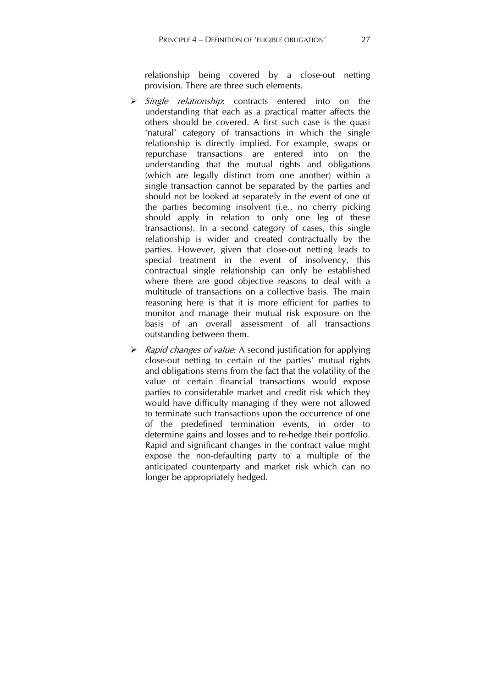relationship being covered by a close-out netting provision. There are three such elements.

- $\triangleright$  Single relationship: contracts entered into on the understanding that each as a practical matter affects the others should be covered. A first such case is the quasi 'natural' category of transactions in which the single relationship is directly implied. For example, swaps or repurchase transactions are entered into on the understanding that the mutual rights and obligations (which are legally distinct from one another) within a single transaction cannot be separated by the parties and should not be looked at separately in the event of one of the parties becoming insolvent (i.e., no cherry picking should apply in relation to only one leg of these transactions). In a second category of cases, this single relationship is wider and created contractually by the parties. However, given that close-out netting leads to special treatment in the event of insolvency, this contractual single relationship can only be established where there are good objective reasons to deal with a multitude of transactions on a collective basis. The main reasoning here is that it is more efficient for parties to monitor and manage their mutual risk exposure on the basis of an overall assessment of all transactions outstanding between them.
- $\triangleright$  Rapid changes of value: A second justification for applying close-out netting to certain of the parties' mutual rights and obligations stems from the fact that the volatility of the value of certain financial transactions would expose parties to considerable market and credit risk which they would have difficulty managing if they were not allowed to terminate such transactions upon the occurrence of one of the predefined termination events, in order to determine gains and losses and to re-hedge their portfolio. Rapid and significant changes in the contract value might expose the non-defaulting party to a multiple of the anticipated counterparty and market risk which can no longer be appropriately hedged.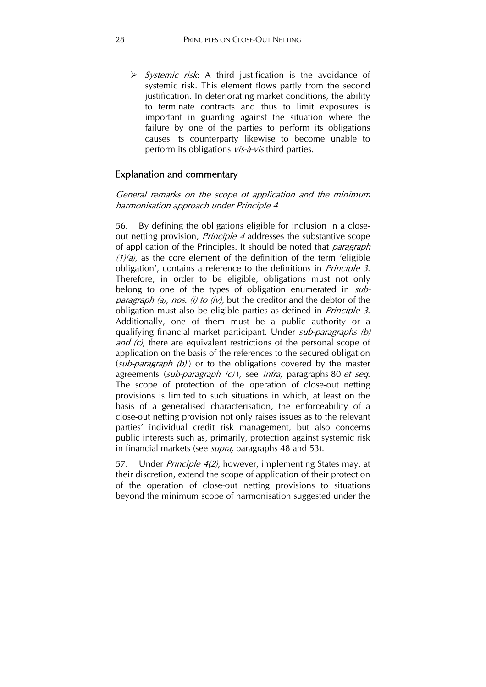$\triangleright$  Systemic risk: A third justification is the avoidance of systemic risk. This element flows partly from the second justification. In deteriorating market conditions, the ability to terminate contracts and thus to limit exposures is important in guarding against the situation where the failure by one of the parties to perform its obligations causes its counterparty likewise to become unable to perform its obligations vis-à-vis third parties.

# Explanation and commentary

# General remarks on the scope of application and the minimum harmonisation approach under Principle 4

56. By defining the obligations eligible for inclusion in a closeout netting provision, Principle 4 addresses the substantive scope of application of the Principles. It should be noted that *paragraph*  $(1)(a)$ , as the core element of the definition of the term 'eligible obligation', contains a reference to the definitions in Principle 3. Therefore, in order to be eligible, obligations must not only belong to one of the types of obligation enumerated in *subparagraph (a), nos. (i) to (iv),* but the creditor and the debtor of the obligation must also be eligible parties as defined in *Principle 3*. Additionally, one of them must be a public authority or a qualifying financial market participant. Under *sub-paragraphs (b)* and (c), there are equivalent restrictions of the personal scope of application on the basis of the references to the secured obligation  $(sub-*para* graph (b))$  or to the obligations covered by the master agreements (sub-paragraph  $(c)$ ), see *infra*, paragraphs 80 et seq. The scope of protection of the operation of close-out netting provisions is limited to such situations in which, at least on the basis of a generalised characterisation, the enforceability of a close-out netting provision not only raises issues as to the relevant parties' individual credit risk management, but also concerns public interests such as, primarily, protection against systemic risk in financial markets (see *supra*, paragraphs 48 and 53).

57. Under *Principle 4(2)*, however, implementing States may, at their discretion, extend the scope of application of their protection of the operation of close-out netting provisions to situations beyond the minimum scope of harmonisation suggested under the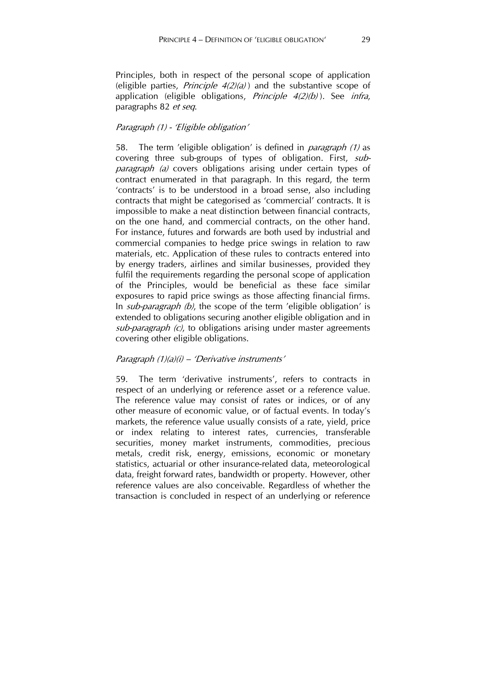Principles, both in respect of the personal scope of application (eligible parties, *Principle*  $4(2)(a)$ ) and the substantive scope of application (eligible obligations, *Principle*  $4(2)(b)$ ). See *infra*, paragraphs 82 et seq.

#### Paragraph (1) - 'Eligible obligation'

58. The term 'eligible obligation' is defined in *paragraph (1)* as covering three sub-groups of types of obligation. First, subparagraph (a) covers obligations arising under certain types of contract enumerated in that paragraph. In this regard, the term 'contracts' is to be understood in a broad sense, also including contracts that might be categorised as 'commercial' contracts. It is impossible to make a neat distinction between financial contracts, on the one hand, and commercial contracts, on the other hand. For instance, futures and forwards are both used by industrial and commercial companies to hedge price swings in relation to raw materials, etc. Application of these rules to contracts entered into by energy traders, airlines and similar businesses, provided they fulfil the requirements regarding the personal scope of application of the Principles, would be beneficial as these face similar exposures to rapid price swings as those affecting financial firms. In *sub-paragraph (b)*, the scope of the term 'eligible obligation' is extended to obligations securing another eligible obligation and in sub-paragraph  $(c)$ , to obligations arising under master agreements covering other eligible obligations.

#### Paragraph (1)(a)(i) – 'Derivative instruments'

59. The term 'derivative instruments', refers to contracts in respect of an underlying or reference asset or a reference value. The reference value may consist of rates or indices, or of any other measure of economic value, or of factual events. In today's markets, the reference value usually consists of a rate, yield, price or index relating to interest rates, currencies, transferable securities, money market instruments, commodities, precious metals, credit risk, energy, emissions, economic or monetary statistics, actuarial or other insurance-related data, meteorological data, freight forward rates, bandwidth or property. However, other reference values are also conceivable. Regardless of whether the transaction is concluded in respect of an underlying or reference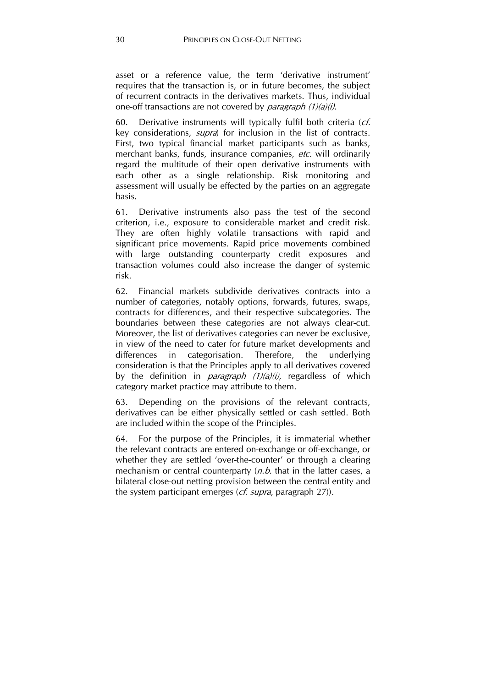asset or a reference value, the term 'derivative instrument' requires that the transaction is, or in future becomes, the subject of recurrent contracts in the derivatives markets. Thus, individual one-off transactions are not covered by *paragraph*  $(1)(a)(i)$ .

60. Derivative instruments will typically fulfil both criteria (cf. key considerations, *supra*) for inclusion in the list of contracts. First, two typical financial market participants such as banks, merchant banks, funds, insurance companies, etc. will ordinarily regard the multitude of their open derivative instruments with each other as a single relationship. Risk monitoring and assessment will usually be effected by the parties on an aggregate basis.

61. Derivative instruments also pass the test of the second criterion, i.e., exposure to considerable market and credit risk. They are often highly volatile transactions with rapid and significant price movements. Rapid price movements combined with large outstanding counterparty credit exposures and transaction volumes could also increase the danger of systemic risk.

62. Financial markets subdivide derivatives contracts into a number of categories, notably options, forwards, futures, swaps, contracts for differences, and their respective subcategories. The boundaries between these categories are not always clear-cut. Moreover, the list of derivatives categories can never be exclusive, in view of the need to cater for future market developments and differences in categorisation. Therefore, the underlying consideration is that the Principles apply to all derivatives covered by the definition in *paragraph*  $(1)(a)(i)$ , regardless of which category market practice may attribute to them.

63. Depending on the provisions of the relevant contracts, derivatives can be either physically settled or cash settled. Both are included within the scope of the Principles.

64. For the purpose of the Principles, it is immaterial whether the relevant contracts are entered on-exchange or off-exchange, or whether they are settled 'over-the-counter' or through a clearing mechanism or central counterparty  $(n.b.$  that in the latter cases, a bilateral close-out netting provision between the central entity and the system participant emerges (*cf. supra*, paragraph 27)).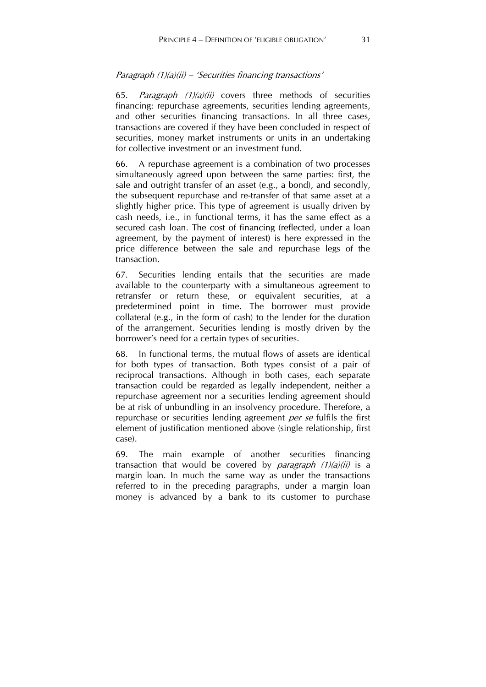### Paragraph (1)(a)(ii) – 'Securities financing transactions'

65. Paragraph  $(1)(a)(ii)$  covers three methods of securities financing: repurchase agreements, securities lending agreements, and other securities financing transactions. In all three cases, transactions are covered if they have been concluded in respect of securities, money market instruments or units in an undertaking for collective investment or an investment fund.

66. A repurchase agreement is a combination of two processes simultaneously agreed upon between the same parties: first, the sale and outright transfer of an asset (e.g., a bond), and secondly, the subsequent repurchase and re-transfer of that same asset at a slightly higher price. This type of agreement is usually driven by cash needs, i.e., in functional terms, it has the same effect as a secured cash loan. The cost of financing (reflected, under a loan agreement, by the payment of interest) is here expressed in the price difference between the sale and repurchase legs of the transaction.

67. Securities lending entails that the securities are made available to the counterparty with a simultaneous agreement to retransfer or return these, or equivalent securities, at a predetermined point in time. The borrower must provide collateral (e.g., in the form of cash) to the lender for the duration of the arrangement. Securities lending is mostly driven by the borrower's need for a certain types of securities.

68. In functional terms, the mutual flows of assets are identical for both types of transaction. Both types consist of a pair of reciprocal transactions. Although in both cases, each separate transaction could be regarded as legally independent, neither a repurchase agreement nor a securities lending agreement should be at risk of unbundling in an insolvency procedure. Therefore, a repurchase or securities lending agreement *per se* fulfils the first element of justification mentioned above (single relationship, first case).

69. The main example of another securities financing transaction that would be covered by *paragraph*  $(1)(a)(ii)$  is a margin loan. In much the same way as under the transactions referred to in the preceding paragraphs, under a margin loan money is advanced by a bank to its customer to purchase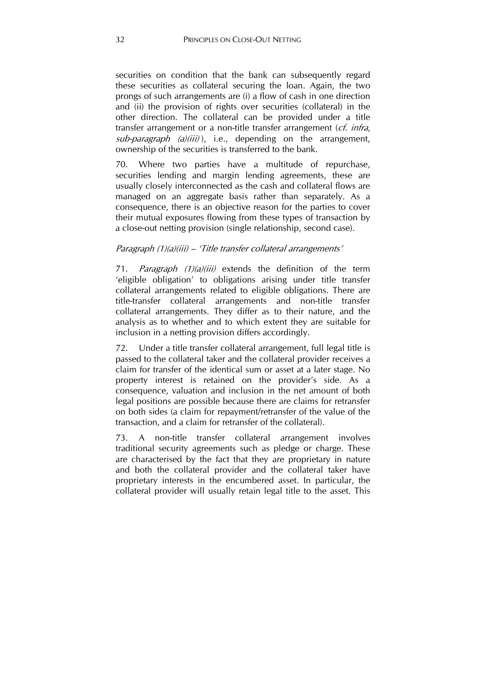securities on condition that the bank can subsequently regard these securities as collateral securing the loan. Again, the two prongs of such arrangements are (i) a flow of cash in one direction and (ii) the provision of rights over securities (collateral) in the other direction. The collateral can be provided under a title transfer arrangement or a non-title transfer arrangement (*cf. infra*,  $sub-paragnh$  (a)(iii)), i.e., depending on the arrangement, ownership of the securities is transferred to the bank.

70. Where two parties have a multitude of repurchase, securities lending and margin lending agreements, these are usually closely interconnected as the cash and collateral flows are managed on an aggregate basis rather than separately. As a consequence, there is an objective reason for the parties to cover their mutual exposures flowing from these types of transaction by a close-out netting provision (single relationship, second case).

# Paragraph (1)(a)(iii) – 'Title transfer collateral arrangements'

71. Paragraph  $(1)(a)(iii)$  extends the definition of the term 'eligible obligation' to obligations arising under title transfer collateral arrangements related to eligible obligations. There are title-transfer collateral arrangements and non-title transfer collateral arrangements. They differ as to their nature, and the analysis as to whether and to which extent they are suitable for inclusion in a netting provision differs accordingly.

72. Under a title transfer collateral arrangement, full legal title is passed to the collateral taker and the collateral provider receives a claim for transfer of the identical sum or asset at a later stage. No property interest is retained on the provider's side. As a consequence, valuation and inclusion in the net amount of both legal positions are possible because there are claims for retransfer on both sides (a claim for repayment/retransfer of the value of the transaction, and a claim for retransfer of the collateral).

73. A non-title transfer collateral arrangement involves traditional security agreements such as pledge or charge. These are characterised by the fact that they are proprietary in nature and both the collateral provider and the collateral taker have proprietary interests in the encumbered asset. In particular, the collateral provider will usually retain legal title to the asset. This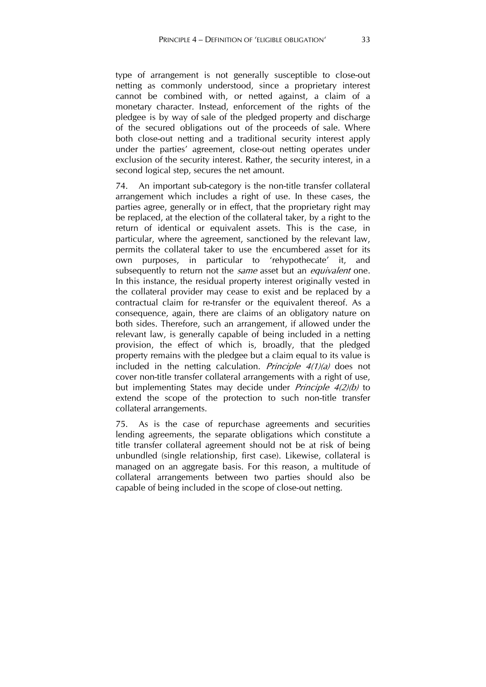type of arrangement is not generally susceptible to close-out netting as commonly understood, since a proprietary interest cannot be combined with, or netted against, a claim of a monetary character. Instead, enforcement of the rights of the pledgee is by way of sale of the pledged property and discharge of the secured obligations out of the proceeds of sale. Where both close-out netting and a traditional security interest apply under the parties' agreement, close-out netting operates under exclusion of the security interest. Rather, the security interest, in a second logical step, secures the net amount.

74. An important sub-category is the non-title transfer collateral arrangement which includes a right of use. In these cases, the parties agree, generally or in effect, that the proprietary right may be replaced, at the election of the collateral taker, by a right to the return of identical or equivalent assets. This is the case, in particular, where the agreement, sanctioned by the relevant law, permits the collateral taker to use the encumbered asset for its own purposes, in particular to 'rehypothecate' it, and subsequently to return not the *same* asset but an *equivalent* one. In this instance, the residual property interest originally vested in the collateral provider may cease to exist and be replaced by a contractual claim for re-transfer or the equivalent thereof. As a consequence, again, there are claims of an obligatory nature on both sides. Therefore, such an arrangement, if allowed under the relevant law, is generally capable of being included in a netting provision, the effect of which is, broadly, that the pledged property remains with the pledgee but a claim equal to its value is included in the netting calculation. *Principle*  $4(1)(a)$  does not cover non-title transfer collateral arrangements with a right of use, but implementing States may decide under *Principle*  $4(2)(b)$  to extend the scope of the protection to such non-title transfer collateral arrangements.

75. As is the case of repurchase agreements and securities lending agreements, the separate obligations which constitute a title transfer collateral agreement should not be at risk of being unbundled (single relationship, first case). Likewise, collateral is managed on an aggregate basis. For this reason, a multitude of collateral arrangements between two parties should also be capable of being included in the scope of close-out netting.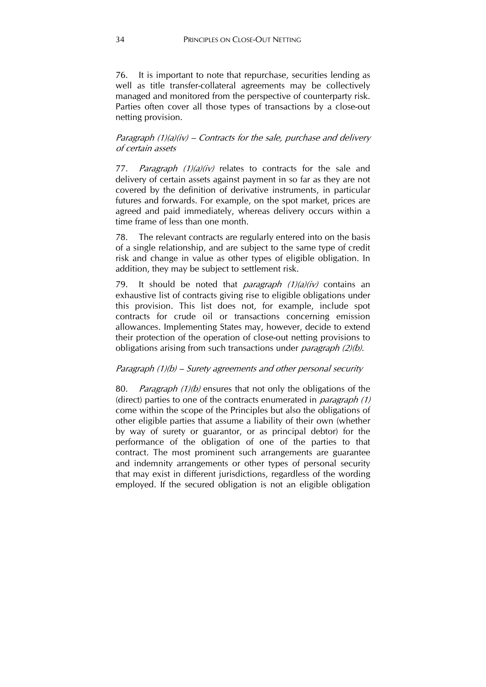76. It is important to note that repurchase, securities lending as well as title transfer-collateral agreements may be collectively managed and monitored from the perspective of counterparty risk. Parties often cover all those types of transactions by a close-out netting provision.

# Paragraph  $(1)(a)(iv)$  – Contracts for the sale, purchase and delivery of certain assets

77. Paragraph  $(1)(a)(iv)$  relates to contracts for the sale and delivery of certain assets against payment in so far as they are not covered by the definition of derivative instruments, in particular futures and forwards. For example, on the spot market, prices are agreed and paid immediately, whereas delivery occurs within a time frame of less than one month.

78. The relevant contracts are regularly entered into on the basis of a single relationship, and are subject to the same type of credit risk and change in value as other types of eligible obligation. In addition, they may be subject to settlement risk.

79. It should be noted that *paragraph*  $(1)(a)(iv)$  contains an exhaustive list of contracts giving rise to eligible obligations under this provision. This list does not, for example, include spot contracts for crude oil or transactions concerning emission allowances. Implementing States may, however, decide to extend their protection of the operation of close-out netting provisions to obligations arising from such transactions under *paragraph (2)(b)*.

# Paragraph (1)(b) – Surety agreements and other personal security

80. *Paragraph (1)(b)* ensures that not only the obligations of the (direct) parties to one of the contracts enumerated in *paragraph* (1) come within the scope of the Principles but also the obligations of other eligible parties that assume a liability of their own (whether by way of surety or guarantor, or as principal debtor) for the performance of the obligation of one of the parties to that contract. The most prominent such arrangements are guarantee and indemnity arrangements or other types of personal security that may exist in different jurisdictions, regardless of the wording employed. If the secured obligation is not an eligible obligation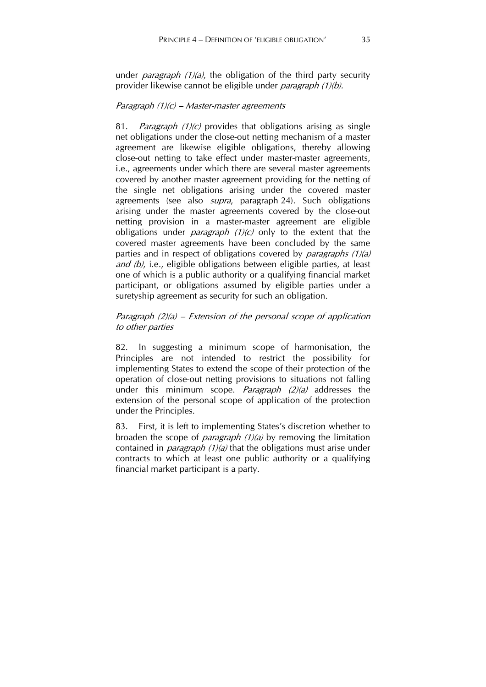under *paragraph*  $(1)(a)$ , the obligation of the third party security provider likewise cannot be eligible under *paragraph (1)(b)*.

#### Paragraph (1)(c) – Master-master agreements

81. Paragraph  $(1)(c)$  provides that obligations arising as single net obligations under the close-out netting mechanism of a master agreement are likewise eligible obligations, thereby allowing close-out netting to take effect under master-master agreements, i.e., agreements under which there are several master agreements covered by another master agreement providing for the netting of the single net obligations arising under the covered master agreements (see also *supra*, paragraph 24). Such obligations arising under the master agreements covered by the close-out netting provision in a master-master agreement are eligible obligations under *paragraph*  $(1)(c)$  only to the extent that the covered master agreements have been concluded by the same parties and in respect of obligations covered by paragraphs (1)(a) and (b), i.e., eligible obligations between eligible parties, at least one of which is a public authority or a qualifying financial market participant, or obligations assumed by eligible parties under a suretyship agreement as security for such an obligation.

# Paragraph  $(2)(a)$  – Extension of the personal scope of application to other parties

82. In suggesting a minimum scope of harmonisation, the Principles are not intended to restrict the possibility for implementing States to extend the scope of their protection of the operation of close-out netting provisions to situations not falling under this minimum scope. *Paragraph*  $(2)(a)$  addresses the extension of the personal scope of application of the protection under the Principles.

83. First, it is left to implementing States's discretion whether to broaden the scope of *paragraph*  $(1)(a)$  by removing the limitation contained in *paragraph*  $(1)(a)$  that the obligations must arise under contracts to which at least one public authority or a qualifying financial market participant is a party.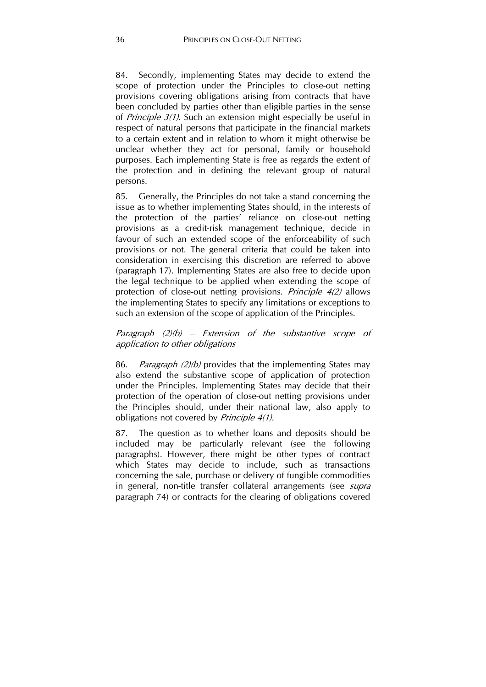84. Secondly, implementing States may decide to extend the scope of protection under the Principles to close-out netting provisions covering obligations arising from contracts that have been concluded by parties other than eligible parties in the sense of Principle 3(1). Such an extension might especially be useful in respect of natural persons that participate in the financial markets to a certain extent and in relation to whom it might otherwise be unclear whether they act for personal, family or household purposes. Each implementing State is free as regards the extent of the protection and in defining the relevant group of natural persons.

85. Generally, the Principles do not take a stand concerning the issue as to whether implementing States should, in the interests of the protection of the parties' reliance on close-out netting provisions as a credit-risk management technique, decide in favour of such an extended scope of the enforceability of such provisions or not. The general criteria that could be taken into consideration in exercising this discretion are referred to above (paragraph 17). Implementing States are also free to decide upon the legal technique to be applied when extending the scope of protection of close-out netting provisions. Principle 4(2) allows the implementing States to specify any limitations or exceptions to such an extension of the scope of application of the Principles.

# Paragraph  $(2)(b)$  – Extension of the substantive scope of application to other obligations

86. Paragraph (2)(b) provides that the implementing States may also extend the substantive scope of application of protection under the Principles. Implementing States may decide that their protection of the operation of close-out netting provisions under the Principles should, under their national law, also apply to obligations not covered by Principle 4(1).

87. The question as to whether loans and deposits should be included may be particularly relevant (see the following paragraphs). However, there might be other types of contract which States may decide to include, such as transactions concerning the sale, purchase or delivery of fungible commodities in general, non-title transfer collateral arrangements (see supra paragraph 74) or contracts for the clearing of obligations covered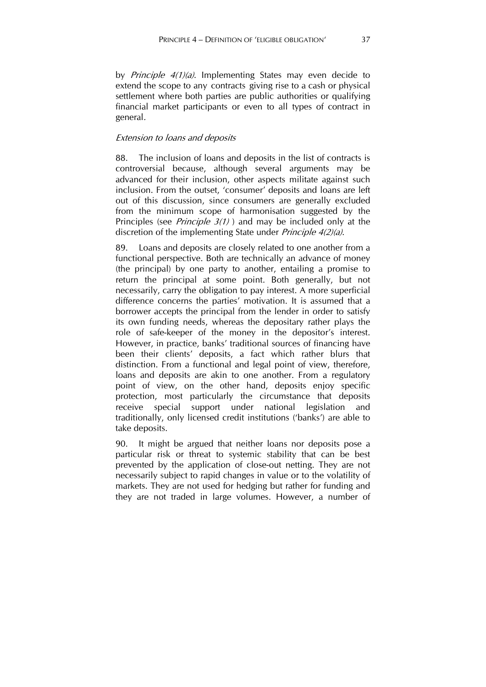by *Principle 4(1)(a)*. Implementing States may even decide to extend the scope to any contracts giving rise to a cash or physical settlement where both parties are public authorities or qualifying financial market participants or even to all types of contract in general.

# Extension to loans and deposits

88. The inclusion of loans and deposits in the list of contracts is controversial because, although several arguments may be advanced for their inclusion, other aspects militate against such inclusion. From the outset, 'consumer' deposits and loans are left out of this discussion, since consumers are generally excluded from the minimum scope of harmonisation suggested by the Principles (see *Principle 3(1)*) and may be included only at the discretion of the implementing State under *Principle 4(2)(a)*.

89. Loans and deposits are closely related to one another from a functional perspective. Both are technically an advance of money (the principal) by one party to another, entailing a promise to return the principal at some point. Both generally, but not necessarily, carry the obligation to pay interest. A more superficial difference concerns the parties' motivation. It is assumed that a borrower accepts the principal from the lender in order to satisfy its own funding needs, whereas the depositary rather plays the role of safe-keeper of the money in the depositor's interest. However, in practice, banks' traditional sources of financing have been their clients' deposits, a fact which rather blurs that distinction. From a functional and legal point of view, therefore, loans and deposits are akin to one another. From a regulatory point of view, on the other hand, deposits enjoy specific protection, most particularly the circumstance that deposits receive special support under national legislation and traditionally, only licensed credit institutions ('banks') are able to take deposits.

90. It might be argued that neither loans nor deposits pose a particular risk or threat to systemic stability that can be best prevented by the application of close-out netting. They are not necessarily subject to rapid changes in value or to the volatility of markets. They are not used for hedging but rather for funding and they are not traded in large volumes. However, a number of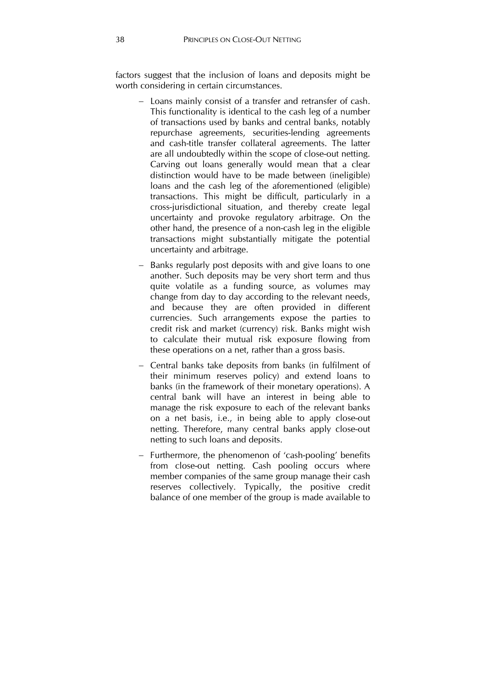factors suggest that the inclusion of loans and deposits might be worth considering in certain circumstances.

- Loans mainly consist of a transfer and retransfer of cash. This functionality is identical to the cash leg of a number of transactions used by banks and central banks, notably repurchase agreements, securities-lending agreements and cash-title transfer collateral agreements. The latter are all undoubtedly within the scope of close-out netting. Carving out loans generally would mean that a clear distinction would have to be made between (ineligible) loans and the cash leg of the aforementioned (eligible) transactions. This might be difficult, particularly in a cross-jurisdictional situation, and thereby create legal uncertainty and provoke regulatory arbitrage. On the other hand, the presence of a non-cash leg in the eligible transactions might substantially mitigate the potential uncertainty and arbitrage.
- Banks regularly post deposits with and give loans to one another. Such deposits may be very short term and thus quite volatile as a funding source, as volumes may change from day to day according to the relevant needs, and because they are often provided in different currencies. Such arrangements expose the parties to credit risk and market (currency) risk. Banks might wish to calculate their mutual risk exposure flowing from these operations on a net, rather than a gross basis.
- Central banks take deposits from banks (in fulfilment of their minimum reserves policy) and extend loans to banks (in the framework of their monetary operations). A central bank will have an interest in being able to manage the risk exposure to each of the relevant banks on a net basis, i.e., in being able to apply close-out netting. Therefore, many central banks apply close-out netting to such loans and deposits.
- Furthermore, the phenomenon of 'cash-pooling' benefits from close-out netting. Cash pooling occurs where member companies of the same group manage their cash reserves collectively. Typically, the positive credit balance of one member of the group is made available to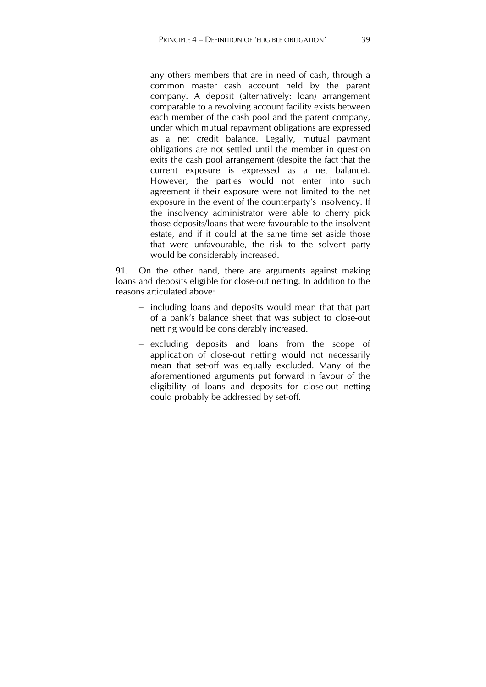any others members that are in need of cash, through a common master cash account held by the parent company. A deposit (alternatively: loan) arrangement comparable to a revolving account facility exists between each member of the cash pool and the parent company, under which mutual repayment obligations are expressed as a net credit balance. Legally, mutual payment obligations are not settled until the member in question exits the cash pool arrangement (despite the fact that the current exposure is expressed as a net balance). However, the parties would not enter into such agreement if their exposure were not limited to the net exposure in the event of the counterparty's insolvency. If the insolvency administrator were able to cherry pick those deposits/loans that were favourable to the insolvent estate, and if it could at the same time set aside those that were unfavourable, the risk to the solvent party would be considerably increased.

91. On the other hand, there are arguments against making loans and deposits eligible for close-out netting. In addition to the reasons articulated above:

- including loans and deposits would mean that that part of a bank's balance sheet that was subject to close-out netting would be considerably increased.
- excluding deposits and loans from the scope of application of close-out netting would not necessarily mean that set-off was equally excluded. Many of the aforementioned arguments put forward in favour of the eligibility of loans and deposits for close-out netting could probably be addressed by set-off.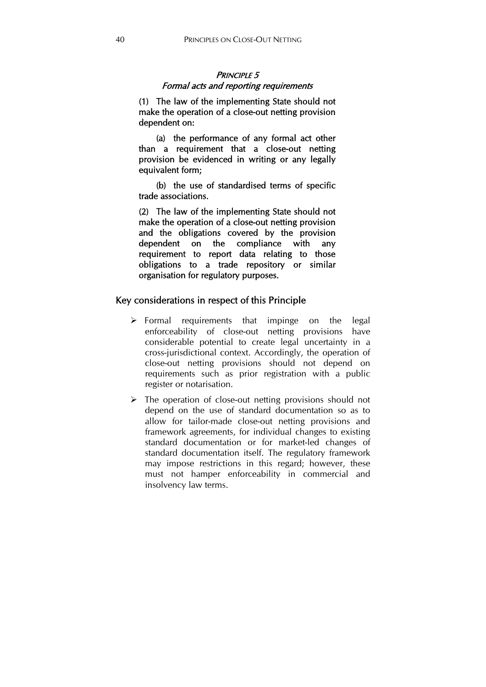### PRINCIPLE 5 Formal acts and reporting requirements

(1) The law of the implementing State should not make the operation of a close-out netting provision dependent on:

(a) the performance of any formal act other than a requirement that a close-out netting provision be evidenced in writing or any legally equivalent form;

(b) the use of standardised terms of specific trade associations.

(2) The law of the implementing State should not make the operation of a close-out netting provision and the obligations covered by the provision dependent on the compliance with any requirement to report data relating to those obligations to a trade repository or similar organisation for regulatory purposes.

### Key considerations in respect of this Principle

- $\triangleright$  Formal requirements that impinge on the legal enforceability of close-out netting provisions have considerable potential to create legal uncertainty in a cross-jurisdictional context. Accordingly, the operation of close-out netting provisions should not depend on requirements such as prior registration with a public register or notarisation.
- $\triangleright$  The operation of close-out netting provisions should not depend on the use of standard documentation so as to allow for tailor-made close-out netting provisions and framework agreements, for individual changes to existing standard documentation or for market-led changes of standard documentation itself. The regulatory framework may impose restrictions in this regard; however, these must not hamper enforceability in commercial and insolvency law terms.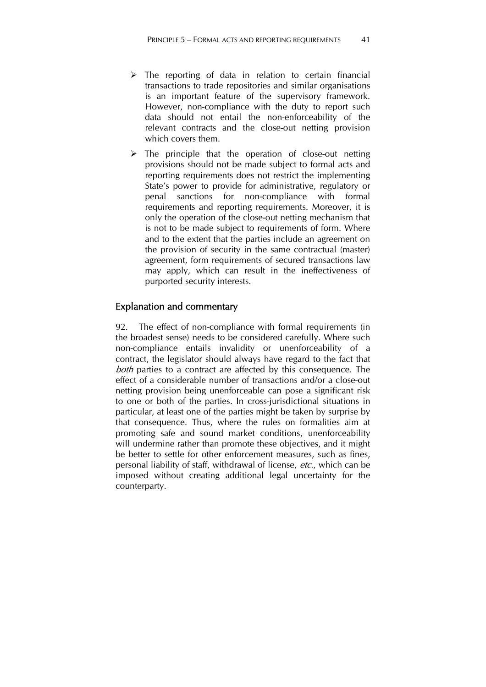- $\triangleright$  The reporting of data in relation to certain financial transactions to trade repositories and similar organisations is an important feature of the supervisory framework. However, non-compliance with the duty to report such data should not entail the non-enforceability of the relevant contracts and the close-out netting provision which covers them.
- $\triangleright$  The principle that the operation of close-out netting provisions should not be made subject to formal acts and reporting requirements does not restrict the implementing State's power to provide for administrative, regulatory or penal sanctions for non-compliance with formal requirements and reporting requirements. Moreover, it is only the operation of the close-out netting mechanism that is not to be made subject to requirements of form. Where and to the extent that the parties include an agreement on the provision of security in the same contractual (master) agreement, form requirements of secured transactions law may apply, which can result in the ineffectiveness of purported security interests.

# Explanation and commentary

92. The effect of non-compliance with formal requirements (in the broadest sense) needs to be considered carefully. Where such non-compliance entails invalidity or unenforceability of a contract, the legislator should always have regard to the fact that both parties to a contract are affected by this consequence. The effect of a considerable number of transactions and/or a close-out netting provision being unenforceable can pose a significant risk to one or both of the parties. In cross-jurisdictional situations in particular, at least one of the parties might be taken by surprise by that consequence. Thus, where the rules on formalities aim at promoting safe and sound market conditions, unenforceability will undermine rather than promote these objectives, and it might be better to settle for other enforcement measures, such as fines, personal liability of staff, withdrawal of license, etc., which can be imposed without creating additional legal uncertainty for the counterparty.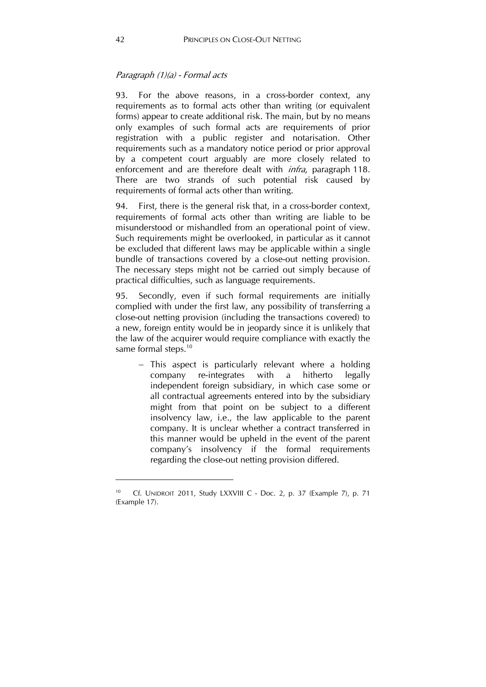### Paragraph (1)(a) - Formal acts

93. For the above reasons, in a cross-border context, any requirements as to formal acts other than writing (or equivalent forms) appear to create additional risk. The main, but by no means only examples of such formal acts are requirements of prior registration with a public register and notarisation. Other requirements such as a mandatory notice period or prior approval by a competent court arguably are more closely related to enforcement and are therefore dealt with *infra*, paragraph 118. There are two strands of such potential risk caused by requirements of formal acts other than writing.

94. First, there is the general risk that, in a cross-border context, requirements of formal acts other than writing are liable to be misunderstood or mishandled from an operational point of view. Such requirements might be overlooked, in particular as it cannot be excluded that different laws may be applicable within a single bundle of transactions covered by a close-out netting provision. The necessary steps might not be carried out simply because of practical difficulties, such as language requirements.

95. Secondly, even if such formal requirements are initially complied with under the first law, any possibility of transferring a close-out netting provision (including the transactions covered) to a new, foreign entity would be in jeopardy since it is unlikely that the law of the acquirer would require compliance with exactly the same formal steps.<sup>10</sup>

- This aspect is particularly relevant where a holding company re-integrates with a hitherto legally independent foreign subsidiary, in which case some or all contractual agreements entered into by the subsidiary might from that point on be subject to a different insolvency law, i.e., the law applicable to the parent company. It is unclear whether a contract transferred in this manner would be upheld in the event of the parent company's insolvency if the formal requirements regarding the close-out netting provision differed.

 $\overline{a}$ 

<sup>10</sup> Cf. UNIDROIT 2011, Study LXXVIII C - Doc. 2, p. 37 (Example 7), p. 71 (Example 17).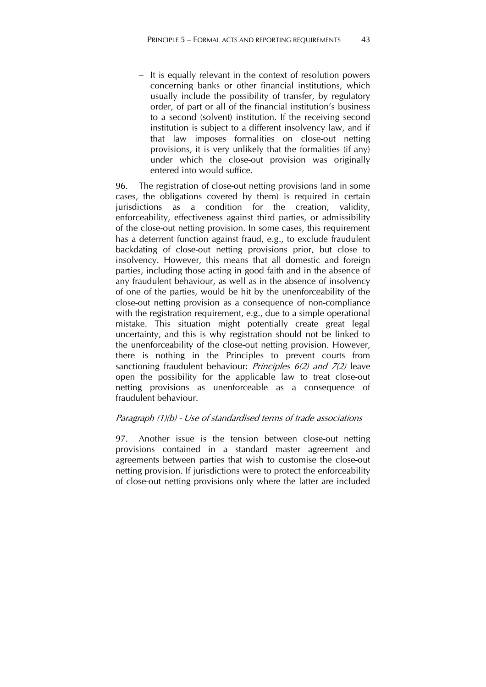$-$  It is equally relevant in the context of resolution powers concerning banks or other financial institutions, which usually include the possibility of transfer, by regulatory order, of part or all of the financial institution's business to a second (solvent) institution. If the receiving second institution is subject to a different insolvency law, and if that law imposes formalities on close-out netting provisions, it is very unlikely that the formalities (if any) under which the close-out provision was originally entered into would suffice.

96. The registration of close-out netting provisions (and in some cases, the obligations covered by them) is required in certain jurisdictions as a condition for the creation, validity, enforceability, effectiveness against third parties, or admissibility of the close-out netting provision. In some cases, this requirement has a deterrent function against fraud, e.g., to exclude fraudulent backdating of close-out netting provisions prior, but close to insolvency. However, this means that all domestic and foreign parties, including those acting in good faith and in the absence of any fraudulent behaviour, as well as in the absence of insolvency of one of the parties, would be hit by the unenforceability of the close-out netting provision as a consequence of non-compliance with the registration requirement, e.g., due to a simple operational mistake. This situation might potentially create great legal uncertainty, and this is why registration should not be linked to the unenforceability of the close-out netting provision. However, there is nothing in the Principles to prevent courts from sanctioning fraudulent behaviour: *Principles 6(2) and 7(2)* leave open the possibility for the applicable law to treat close-out netting provisions as unenforceable as a consequence of fraudulent behaviour.

### Paragraph (1)(b) - Use of standardised terms of trade associations

97. Another issue is the tension between close-out netting provisions contained in a standard master agreement and agreements between parties that wish to customise the close-out netting provision. If jurisdictions were to protect the enforceability of close-out netting provisions only where the latter are included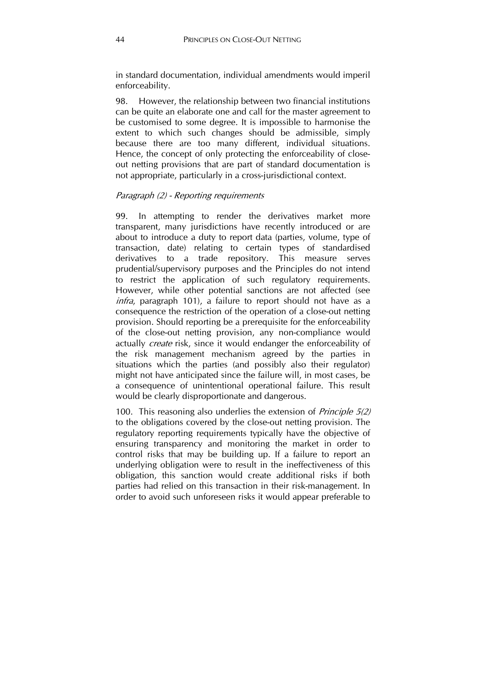in standard documentation, individual amendments would imperil enforceability.

98. However, the relationship between two financial institutions can be quite an elaborate one and call for the master agreement to be customised to some degree. It is impossible to harmonise the extent to which such changes should be admissible, simply because there are too many different, individual situations. Hence, the concept of only protecting the enforceability of closeout netting provisions that are part of standard documentation is not appropriate, particularly in a cross-jurisdictional context.

### Paragraph (2) - Reporting requirements

99. In attempting to render the derivatives market more transparent, many jurisdictions have recently introduced or are about to introduce a duty to report data (parties, volume, type of transaction, date) relating to certain types of standardised derivatives to a trade repository. This measure serves prudential/supervisory purposes and the Principles do not intend to restrict the application of such regulatory requirements. However, while other potential sanctions are not affected (see infra, paragraph 101), a failure to report should not have as a consequence the restriction of the operation of a close-out netting provision. Should reporting be a prerequisite for the enforceability of the close-out netting provision, any non-compliance would actually *create* risk, since it would endanger the enforceability of the risk management mechanism agreed by the parties in situations which the parties (and possibly also their regulator) might not have anticipated since the failure will, in most cases, be a consequence of unintentional operational failure. This result would be clearly disproportionate and dangerous.

100. This reasoning also underlies the extension of *Principle 5(2)* to the obligations covered by the close-out netting provision. The regulatory reporting requirements typically have the objective of ensuring transparency and monitoring the market in order to control risks that may be building up. If a failure to report an underlying obligation were to result in the ineffectiveness of this obligation, this sanction would create additional risks if both parties had relied on this transaction in their risk-management. In order to avoid such unforeseen risks it would appear preferable to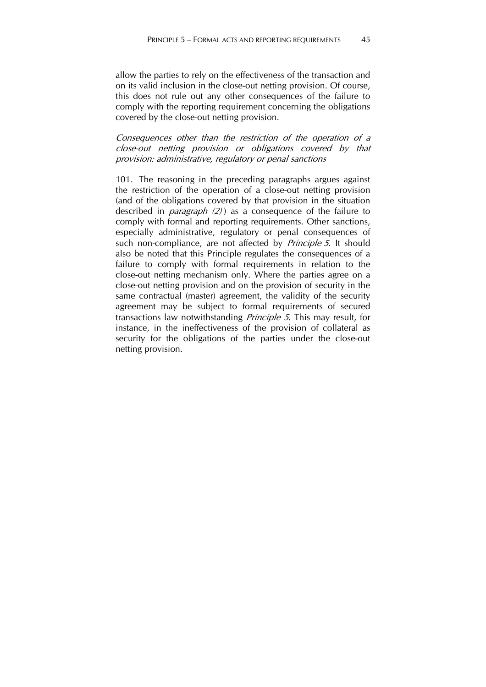allow the parties to rely on the effectiveness of the transaction and on its valid inclusion in the close-out netting provision. Of course, this does not rule out any other consequences of the failure to comply with the reporting requirement concerning the obligations covered by the close-out netting provision.

Consequences other than the restriction of the operation of a close-out netting provision or obligations covered by that provision: administrative, regulatory or penal sanctions

101. The reasoning in the preceding paragraphs argues against the restriction of the operation of a close-out netting provision (and of the obligations covered by that provision in the situation described in *paragraph* (2)) as a consequence of the failure to comply with formal and reporting requirements. Other sanctions, especially administrative, regulatory or penal consequences of such non-compliance, are not affected by *Principle 5*. It should also be noted that this Principle regulates the consequences of a failure to comply with formal requirements in relation to the close-out netting mechanism only. Where the parties agree on a close-out netting provision and on the provision of security in the same contractual (master) agreement, the validity of the security agreement may be subject to formal requirements of secured transactions law notwithstanding Principle 5. This may result, for instance, in the ineffectiveness of the provision of collateral as security for the obligations of the parties under the close-out netting provision.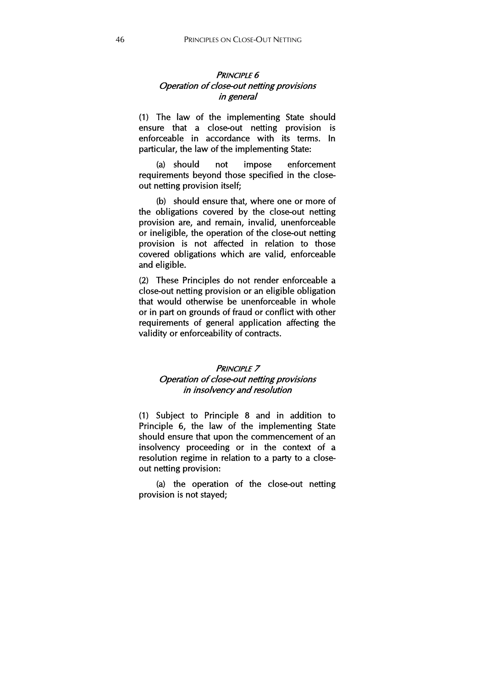# PRINCIPLE 6 Operation of close-out netting provisions in general

(1) The law of the implementing State should ensure that a close-out netting provision is enforceable in accordance with its terms. In particular, the law of the implementing State:

(a) should not impose enforcement requirements beyond those specified in the closeout netting provision itself;

(b) should ensure that, where one or more of the obligations covered by the close-out netting provision are, and remain, invalid, unenforceable or ineligible, the operation of the close-out netting provision is not affected in relation to those covered obligations which are valid, enforceable and eligible.

(2) These Principles do not render enforceable a close-out netting provision or an eligible obligation that would otherwise be unenforceable in whole or in part on grounds of fraud or conflict with other requirements of general application affecting the validity or enforceability of contracts.

### PRINCIPLE<sub>7</sub> Operation of close-out netting provisions in insolvency and resolution

(1) Subject to Principle 8 and in addition to Principle 6, the law of the implementing State should ensure that upon the commencement of an insolvency proceeding or in the context of a resolution regime in relation to a party to a closeout netting provision:

(a) the operation of the close-out netting provision is not stayed;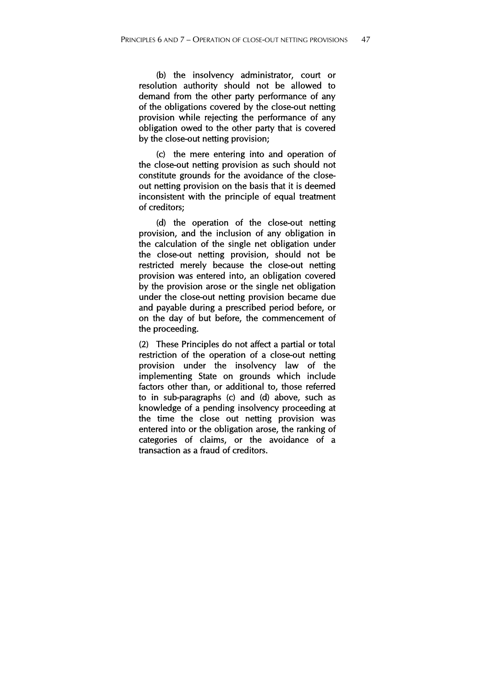(b) the insolvency administrator, court or resolution authority should not be allowed to demand from the other party performance of any of the obligations covered by the close-out netting provision while rejecting the performance of any obligation owed to the other party that is covered by the close-out netting provision;

(c) the mere entering into and operation of the close-out netting provision as such should not constitute grounds for the avoidance of the closeout netting provision on the basis that it is deemed inconsistent with the principle of equal treatment of creditors;

(d) the operation of the close-out netting provision, and the inclusion of any obligation in the calculation of the single net obligation under the close-out netting provision, should not be restricted merely because the close-out netting provision was entered into, an obligation covered by the provision arose or the single net obligation under the close-out netting provision became due and payable during a prescribed period before, or on the day of but before, the commencement of the proceeding.

(2) These Principles do not affect a partial or total restriction of the operation of a close-out netting provision under the insolvency law of the implementing State on grounds which include factors other than, or additional to, those referred to in sub-paragraphs (c) and (d) above, such as knowledge of a pending insolvency proceeding at the time the close out netting provision was entered into or the obligation arose, the ranking of categories of claims, or the avoidance of a transaction as a fraud of creditors.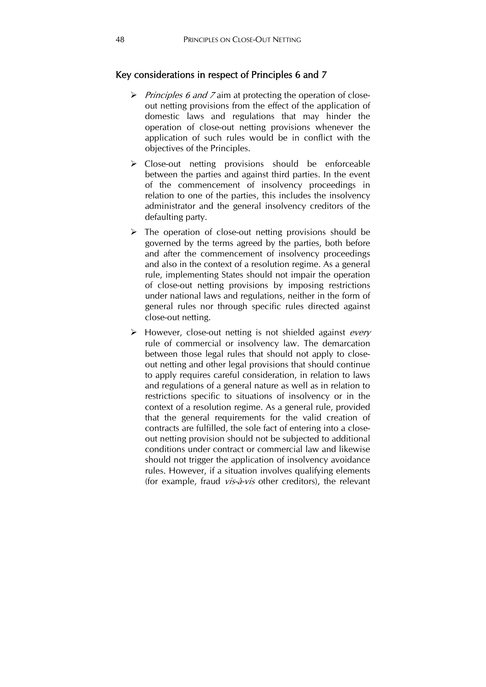# Key considerations in respect of Principles 6 and 7

- $\triangleright$  *Principles 6 and 7* aim at protecting the operation of closeout netting provisions from the effect of the application of domestic laws and regulations that may hinder the operation of close-out netting provisions whenever the application of such rules would be in conflict with the objectives of the Principles.
- $\triangleright$  Close-out netting provisions should be enforceable between the parties and against third parties. In the event of the commencement of insolvency proceedings in relation to one of the parties, this includes the insolvency administrator and the general insolvency creditors of the defaulting party.
- $\triangleright$  The operation of close-out netting provisions should be governed by the terms agreed by the parties, both before and after the commencement of insolvency proceedings and also in the context of a resolution regime. As a general rule, implementing States should not impair the operation of close-out netting provisions by imposing restrictions under national laws and regulations, neither in the form of general rules nor through specific rules directed against close-out netting.
- $\triangleright$  However, close-out netting is not shielded against *every* rule of commercial or insolvency law. The demarcation between those legal rules that should not apply to closeout netting and other legal provisions that should continue to apply requires careful consideration, in relation to laws and regulations of a general nature as well as in relation to restrictions specific to situations of insolvency or in the context of a resolution regime. As a general rule, provided that the general requirements for the valid creation of contracts are fulfilled, the sole fact of entering into a closeout netting provision should not be subjected to additional conditions under contract or commercial law and likewise should not trigger the application of insolvency avoidance rules. However, if a situation involves qualifying elements (for example, fraud *vis-à-vis* other creditors), the relevant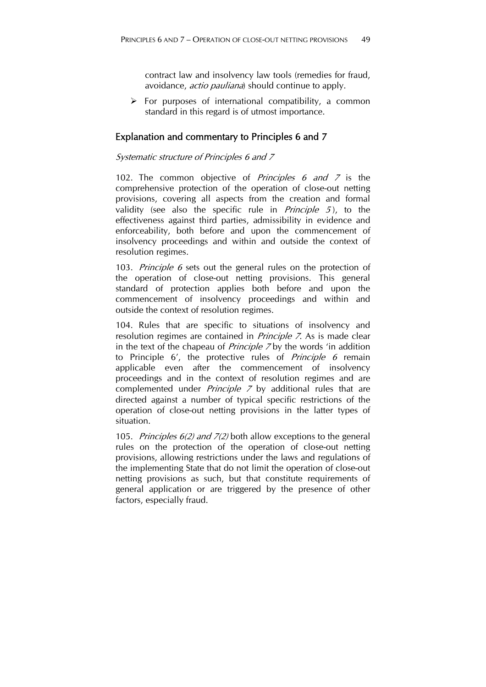contract law and insolvency law tools (remedies for fraud, avoidance, *actio pauliana*) should continue to apply.

 $\triangleright$  For purposes of international compatibility, a common standard in this regard is of utmost importance.

# Explanation and commentary to Principles 6 and 7

# Systematic structure of Principles 6 and 7

102. The common objective of *Principles 6 and 7* is the comprehensive protection of the operation of close-out netting provisions, covering all aspects from the creation and formal validity (see also the specific rule in *Principle 5*), to the effectiveness against third parties, admissibility in evidence and enforceability, both before and upon the commencement of insolvency proceedings and within and outside the context of resolution regimes.

103. *Principle 6* sets out the general rules on the protection of the operation of close-out netting provisions. This general standard of protection applies both before and upon the commencement of insolvency proceedings and within and outside the context of resolution regimes.

104. Rules that are specific to situations of insolvency and resolution regimes are contained in *Principle 7*. As is made clear in the text of the chapeau of *Principle*  $\overline{Z}$  by the words 'in addition to Principle 6', the protective rules of *Principle 6* remain applicable even after the commencement of insolvency proceedings and in the context of resolution regimes and are complemented under *Principle 7* by additional rules that are directed against a number of typical specific restrictions of the operation of close-out netting provisions in the latter types of situation.

105. *Principles 6(2) and 7(2)* both allow exceptions to the general rules on the protection of the operation of close-out netting provisions, allowing restrictions under the laws and regulations of the implementing State that do not limit the operation of close-out netting provisions as such, but that constitute requirements of general application or are triggered by the presence of other factors, especially fraud.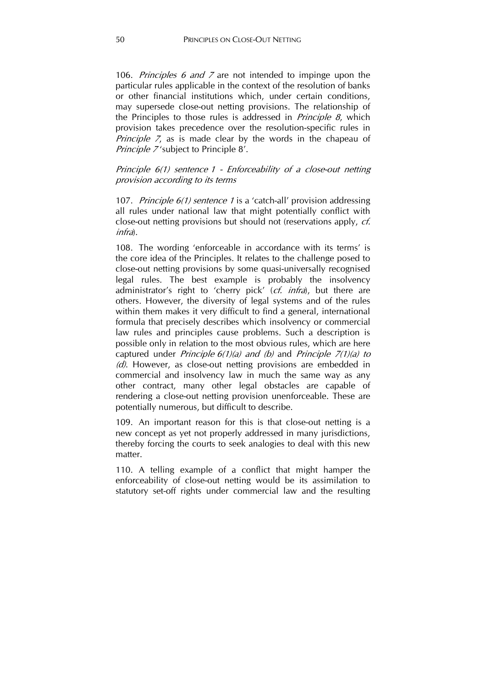106. Principles 6 and 7 are not intended to impinge upon the particular rules applicable in the context of the resolution of banks or other financial institutions which, under certain conditions, may supersede close-out netting provisions. The relationship of the Principles to those rules is addressed in *Principle 8*, which provision takes precedence over the resolution-specific rules in Principle 7, as is made clear by the words in the chapeau of Principle 7'subject to Principle 8'.

# Principle 6(1) sentence 1 - Enforceability of a close-out netting provision according to its terms

107. Principle 6(1) sentence 1 is a 'catch-all' provision addressing all rules under national law that might potentially conflict with close-out netting provisions but should not (reservations apply, cf. infra).

108. The wording 'enforceable in accordance with its terms' is the core idea of the Principles. It relates to the challenge posed to close-out netting provisions by some quasi-universally recognised legal rules. The best example is probably the insolvency administrator's right to 'cherry pick' (cf. infra), but there are others. However, the diversity of legal systems and of the rules within them makes it very difficult to find a general, international formula that precisely describes which insolvency or commercial law rules and principles cause problems. Such a description is possible only in relation to the most obvious rules, which are here captured under *Principle 6(1)(a) and (b)* and *Principle 7(1)(a) to* (d). However, as close-out netting provisions are embedded in commercial and insolvency law in much the same way as any other contract, many other legal obstacles are capable of rendering a close-out netting provision unenforceable. These are potentially numerous, but difficult to describe.

109. An important reason for this is that close-out netting is a new concept as yet not properly addressed in many jurisdictions, thereby forcing the courts to seek analogies to deal with this new matter.

110. A telling example of a conflict that might hamper the enforceability of close-out netting would be its assimilation to statutory set-off rights under commercial law and the resulting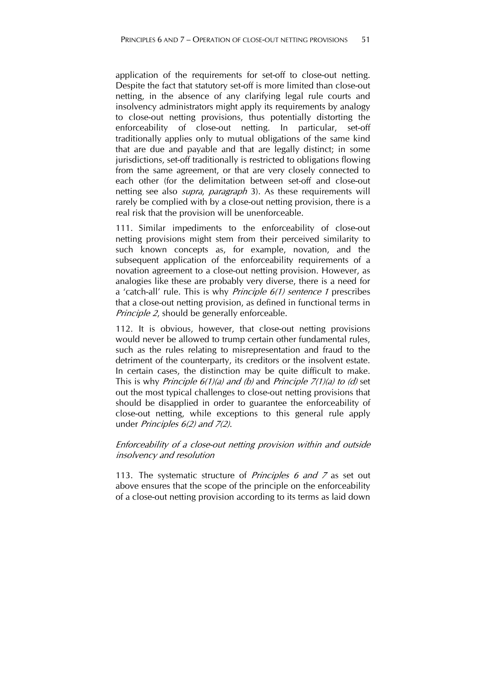application of the requirements for set-off to close-out netting. Despite the fact that statutory set-off is more limited than close-out netting, in the absence of any clarifying legal rule courts and insolvency administrators might apply its requirements by analogy to close-out netting provisions, thus potentially distorting the enforceability of close-out netting. In particular, set-off traditionally applies only to mutual obligations of the same kind that are due and payable and that are legally distinct; in some jurisdictions, set-off traditionally is restricted to obligations flowing from the same agreement, or that are very closely connected to each other (for the delimitation between set-off and close-out netting see also *supra, paragraph* 3). As these requirements will rarely be complied with by a close-out netting provision, there is a real risk that the provision will be unenforceable.

111. Similar impediments to the enforceability of close-out netting provisions might stem from their perceived similarity to such known concepts as, for example, novation, and the subsequent application of the enforceability requirements of a novation agreement to a close-out netting provision. However, as analogies like these are probably very diverse, there is a need for a 'catch-all' rule. This is why *Principle*  $6(1)$  *sentence 1* prescribes that a close-out netting provision, as defined in functional terms in Principle 2, should be generally enforceable.

112. It is obvious, however, that close-out netting provisions would never be allowed to trump certain other fundamental rules, such as the rules relating to misrepresentation and fraud to the detriment of the counterparty, its creditors or the insolvent estate. In certain cases, the distinction may be quite difficult to make. This is why *Principle 6(1)(a) and (b)* and *Principle 7(1)(a) to (d)* set out the most typical challenges to close-out netting provisions that should be disapplied in order to guarantee the enforceability of close-out netting, while exceptions to this general rule apply under Principles 6(2) and 7(2).

# Enforceability of a close-out netting provision within and outside insolvency and resolution

113. The systematic structure of *Principles 6 and 7* as set out above ensures that the scope of the principle on the enforceability of a close-out netting provision according to its terms as laid down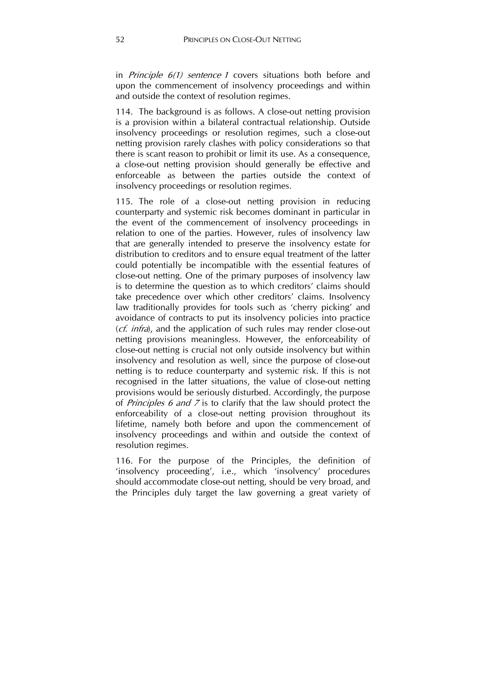in Principle 6(1) sentence 1 covers situations both before and upon the commencement of insolvency proceedings and within and outside the context of resolution regimes.

114. The background is as follows. A close-out netting provision is a provision within a bilateral contractual relationship. Outside insolvency proceedings or resolution regimes, such a close-out netting provision rarely clashes with policy considerations so that there is scant reason to prohibit or limit its use. As a consequence, a close-out netting provision should generally be effective and enforceable as between the parties outside the context of insolvency proceedings or resolution regimes.

115. The role of a close-out netting provision in reducing counterparty and systemic risk becomes dominant in particular in the event of the commencement of insolvency proceedings in relation to one of the parties. However, rules of insolvency law that are generally intended to preserve the insolvency estate for distribution to creditors and to ensure equal treatment of the latter could potentially be incompatible with the essential features of close-out netting. One of the primary purposes of insolvency law is to determine the question as to which creditors' claims should take precedence over which other creditors' claims. Insolvency law traditionally provides for tools such as 'cherry picking' and avoidance of contracts to put its insolvency policies into practice (*cf. infra*), and the application of such rules may render close-out netting provisions meaningless. However, the enforceability of close-out netting is crucial not only outside insolvency but within insolvency and resolution as well, since the purpose of close-out netting is to reduce counterparty and systemic risk. If this is not recognised in the latter situations, the value of close-out netting provisions would be seriously disturbed. Accordingly, the purpose of *Principles 6 and 7* is to clarify that the law should protect the enforceability of a close-out netting provision throughout its lifetime, namely both before and upon the commencement of insolvency proceedings and within and outside the context of resolution regimes.

116. For the purpose of the Principles, the definition of 'insolvency proceeding', i.e., which 'insolvency' procedures should accommodate close-out netting, should be very broad, and the Principles duly target the law governing a great variety of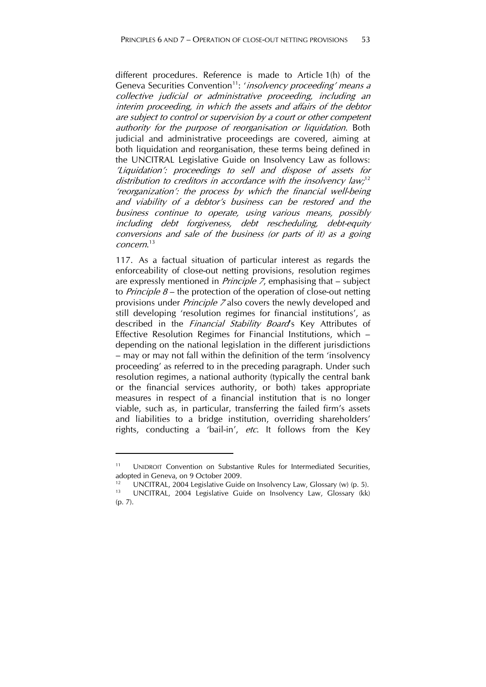different procedures. Reference is made to Article 1(h) of the Geneva Securities Convention<sup>11</sup>: '*insolvency proceeding' means a* collective judicial or administrative proceeding, including an interim proceeding, in which the assets and affairs of the debtor are subject to control or supervision by a court or other competent authority for the purpose of reorganisation or liquidation. Both judicial and administrative proceedings are covered, aiming at both liquidation and reorganisation, these terms being defined in the UNCITRAL Legislative Guide on Insolvency Law as follows: 'Liquidation': proceedings to sell and dispose of assets for distribution to creditors in accordance with the insolvency law; $^{12}$ 'reorganization': the process by which the financial well-being and viability of a debtor's business can be restored and the business continue to operate, using various means, possibly including debt forgiveness, debt rescheduling, debt-equity conversions and sale of the business (or parts of it) as a going concern. 13

117. As a factual situation of particular interest as regards the enforceability of close-out netting provisions, resolution regimes are expressly mentioned in Principle 7, emphasising that – subject to *Principle 8* – the protection of the operation of close-out netting provisions under Principle 7 also covers the newly developed and still developing 'resolution regimes for financial institutions', as described in the Financial Stability Board's Key Attributes of Effective Resolution Regimes for Financial Institutions, which – depending on the national legislation in the different jurisdictions – may or may not fall within the definition of the term 'insolvency proceeding' as referred to in the preceding paragraph. Under such resolution regimes, a national authority (typically the central bank or the financial services authority, or both) takes appropriate measures in respect of a financial institution that is no longer viable, such as, in particular, transferring the failed firm's assets and liabilities to a bridge institution, overriding shareholders' rights, conducting a 'bail-in', etc. It follows from the Key

UNIDROIT Convention on Substantive Rules for Intermediated Securities, adopted in Geneva, on 9 October 2009.

<sup>&</sup>lt;sup>12</sup> UNCITRAL, 2004 Legislative Guide on Insolvency Law, Glossary (w) (p. 5).<br><sup>13</sup> UNCITRAL, 2004 Legislative Guide on Insolvency Law, Glossary (kk) (p. 7).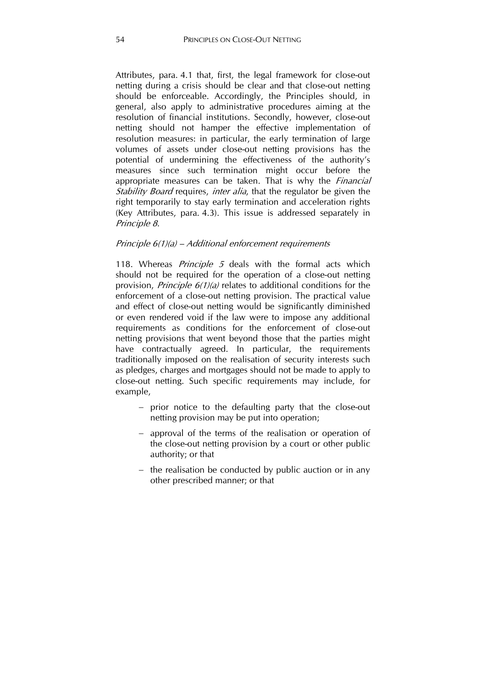Attributes, para. 4.1 that, first, the legal framework for close-out netting during a crisis should be clear and that close-out netting should be enforceable. Accordingly, the Principles should, in general, also apply to administrative procedures aiming at the resolution of financial institutions. Secondly, however, close-out netting should not hamper the effective implementation of resolution measures: in particular, the early termination of large volumes of assets under close-out netting provisions has the potential of undermining the effectiveness of the authority's measures since such termination might occur before the appropriate measures can be taken. That is why the *Financial* Stability Board requires, inter alia, that the regulator be given the right temporarily to stay early termination and acceleration rights (Key Attributes, para. 4.3). This issue is addressed separately in Principle 8.

### Principle 6(1)(a) – Additional enforcement requirements

118. Whereas *Principle 5* deals with the formal acts which should not be required for the operation of a close-out netting provision, *Principle*  $6(1)(a)$  relates to additional conditions for the enforcement of a close-out netting provision. The practical value and effect of close-out netting would be significantly diminished or even rendered void if the law were to impose any additional requirements as conditions for the enforcement of close-out netting provisions that went beyond those that the parties might have contractually agreed. In particular, the requirements traditionally imposed on the realisation of security interests such as pledges, charges and mortgages should not be made to apply to close-out netting. Such specific requirements may include, for example,

- prior notice to the defaulting party that the close-out netting provision may be put into operation;
- approval of the terms of the realisation or operation of the close-out netting provision by a court or other public authority; or that
- $-$  the realisation be conducted by public auction or in any other prescribed manner; or that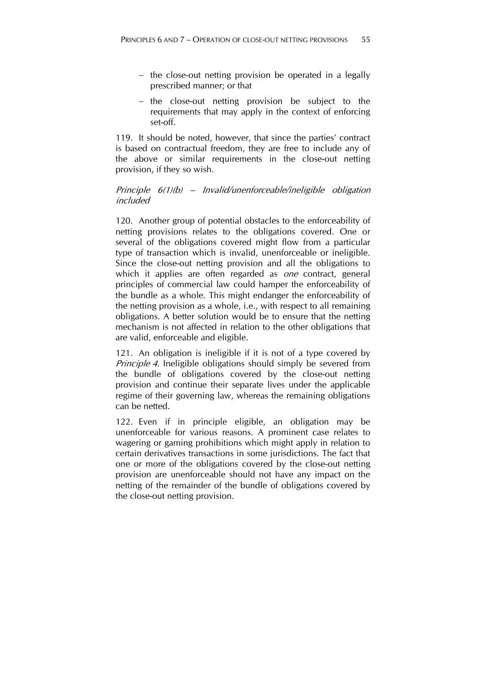- $-$  the close-out netting provision be operated in a legally prescribed manner; or that
- the close-out netting provision be subject to the requirements that may apply in the context of enforcing set-off.

119. It should be noted, however, that since the parties' contract is based on contractual freedom, they are free to include any of the above or similar requirements in the close-out netting provision, if they so wish.

# Principle 6(1)(b) – Invalid/unenforceable/ineligible obligation included

120. Another group of potential obstacles to the enforceability of netting provisions relates to the obligations covered. One or several of the obligations covered might flow from a particular type of transaction which is invalid, unenforceable or ineligible. Since the close-out netting provision and all the obligations to which it applies are often regarded as *one* contract, general principles of commercial law could hamper the enforceability of the bundle as a whole. This might endanger the enforceability of the netting provision as a whole, i.e., with respect to all remaining obligations. A better solution would be to ensure that the netting mechanism is not affected in relation to the other obligations that are valid, enforceable and eligible.

121. An obligation is ineligible if it is not of a type covered by *Principle 4.* Ineligible obligations should simply be severed from the bundle of obligations covered by the close-out netting provision and continue their separate lives under the applicable regime of their governing law, whereas the remaining obligations can be netted.

122. Even if in principle eligible, an obligation may be unenforceable for various reasons. A prominent case relates to wagering or gaming prohibitions which might apply in relation to certain derivatives transactions in some jurisdictions. The fact that one or more of the obligations covered by the close-out netting provision are unenforceable should not have any impact on the netting of the remainder of the bundle of obligations covered by the close-out netting provision.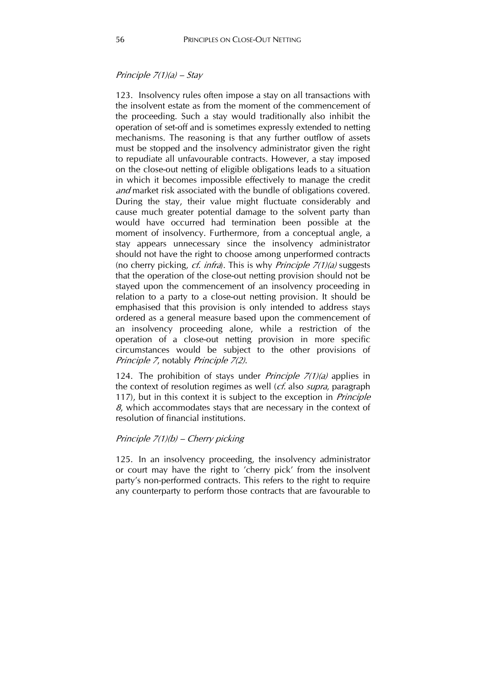### Principle 7(1)(a) – Stay

123. Insolvency rules often impose a stay on all transactions with the insolvent estate as from the moment of the commencement of the proceeding. Such a stay would traditionally also inhibit the operation of set-off and is sometimes expressly extended to netting mechanisms. The reasoning is that any further outflow of assets must be stopped and the insolvency administrator given the right to repudiate all unfavourable contracts. However, a stay imposed on the close-out netting of eligible obligations leads to a situation in which it becomes impossible effectively to manage the credit and market risk associated with the bundle of obligations covered. During the stay, their value might fluctuate considerably and cause much greater potential damage to the solvent party than would have occurred had termination been possible at the moment of insolvency. Furthermore, from a conceptual angle, a stay appears unnecessary since the insolvency administrator should not have the right to choose among unperformed contracts (no cherry picking, *cf. infra*). This is why *Principle*  $7(1)(a)$  suggests that the operation of the close-out netting provision should not be stayed upon the commencement of an insolvency proceeding in relation to a party to a close-out netting provision. It should be emphasised that this provision is only intended to address stays ordered as a general measure based upon the commencement of an insolvency proceeding alone, while a restriction of the operation of a close-out netting provision in more specific circumstances would be subject to the other provisions of Principle 7, notably Principle 7(2).

124. The prohibition of stays under *Principle 7(1)(a)* applies in the context of resolution regimes as well (*cf.* also *supra*, paragraph 117), but in this context it is subject to the exception in *Principle*  $8$ , which accommodates stays that are necessary in the context of resolution of financial institutions.

# Principle 7(1)(b) – Cherry picking

125. In an insolvency proceeding, the insolvency administrator or court may have the right to 'cherry pick' from the insolvent party's non-performed contracts. This refers to the right to require any counterparty to perform those contracts that are favourable to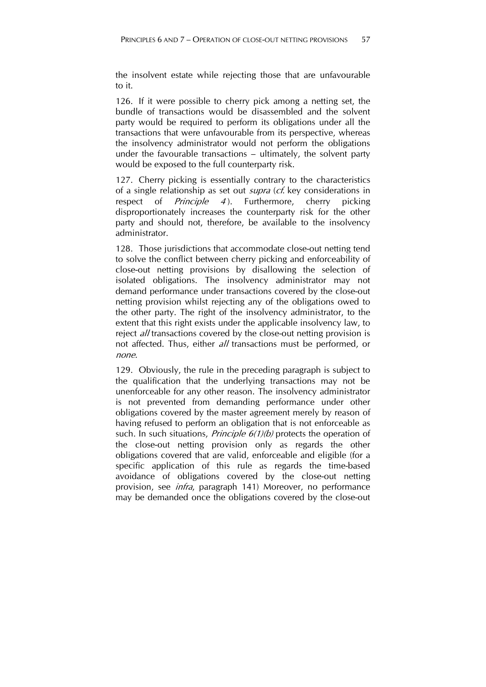the insolvent estate while rejecting those that are unfavourable to it.

126. If it were possible to cherry pick among a netting set, the bundle of transactions would be disassembled and the solvent party would be required to perform its obligations under all the transactions that were unfavourable from its perspective, whereas the insolvency administrator would not perform the obligations under the favourable transactions – ultimately, the solvent party would be exposed to the full counterparty risk.

127. Cherry picking is essentially contrary to the characteristics of a single relationship as set out *supra (cf.* key considerations in respect of *Principle 4*). Furthermore, cherry picking disproportionately increases the counterparty risk for the other party and should not, therefore, be available to the insolvency administrator.

128. Those jurisdictions that accommodate close-out netting tend to solve the conflict between cherry picking and enforceability of close-out netting provisions by disallowing the selection of isolated obligations. The insolvency administrator may not demand performance under transactions covered by the close-out netting provision whilst rejecting any of the obligations owed to the other party. The right of the insolvency administrator, to the extent that this right exists under the applicable insolvency law, to reject *all* transactions covered by the close-out netting provision is not affected. Thus, either *all* transactions must be performed, or none.

129. Obviously, the rule in the preceding paragraph is subject to the qualification that the underlying transactions may not be unenforceable for any other reason. The insolvency administrator is not prevented from demanding performance under other obligations covered by the master agreement merely by reason of having refused to perform an obligation that is not enforceable as such. In such situations, *Principle 6(1)(b)* protects the operation of the close-out netting provision only as regards the other obligations covered that are valid, enforceable and eligible (for a specific application of this rule as regards the time-based avoidance of obligations covered by the close-out netting provision, see infra, paragraph 141) Moreover, no performance may be demanded once the obligations covered by the close-out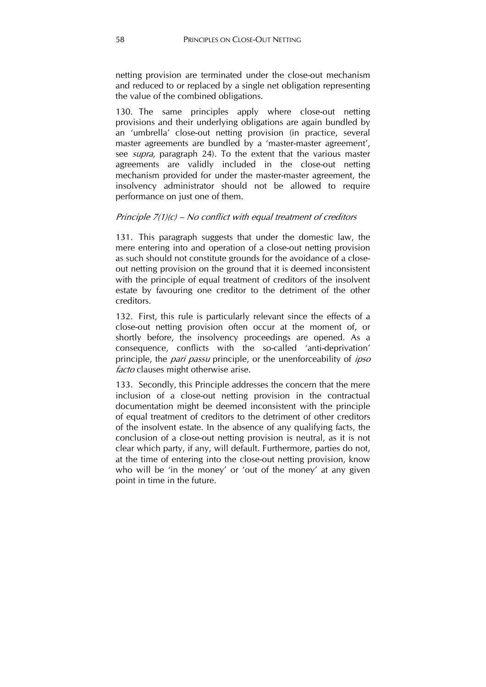netting provision are terminated under the close-out mechanism and reduced to or replaced by a single net obligation representing the value of the combined obligations.

130. The same principles apply where close-out netting provisions and their underlying obligations are again bundled by an 'umbrella' close-out netting provision (in practice, several master agreements are bundled by a 'master-master agreement', see *supra*, paragraph 24). To the extent that the various master agreements are validly included in the close-out netting mechanism provided for under the master-master agreement, the insolvency administrator should not be allowed to require performance on just one of them.

### Principle  $7(1)(c)$  – No conflict with equal treatment of creditors

131. This paragraph suggests that under the domestic law, the mere entering into and operation of a close-out netting provision as such should not constitute grounds for the avoidance of a closeout netting provision on the ground that it is deemed inconsistent with the principle of equal treatment of creditors of the insolvent estate by favouring one creditor to the detriment of the other creditors.

132. First, this rule is particularly relevant since the effects of a close-out netting provision often occur at the moment of, or shortly before, the insolvency proceedings are opened. As a consequence, conflicts with the so-called 'anti-deprivation' principle, the *pari passu* principle, or the unenforceability of *ipso* facto clauses might otherwise arise.

133. Secondly, this Principle addresses the concern that the mere inclusion of a close-out netting provision in the contractual documentation might be deemed inconsistent with the principle of equal treatment of creditors to the detriment of other creditors of the insolvent estate. In the absence of any qualifying facts, the conclusion of a close-out netting provision is neutral, as it is not clear which party, if any, will default. Furthermore, parties do not, at the time of entering into the close-out netting provision, know who will be 'in the money' or 'out of the money' at any given point in time in the future.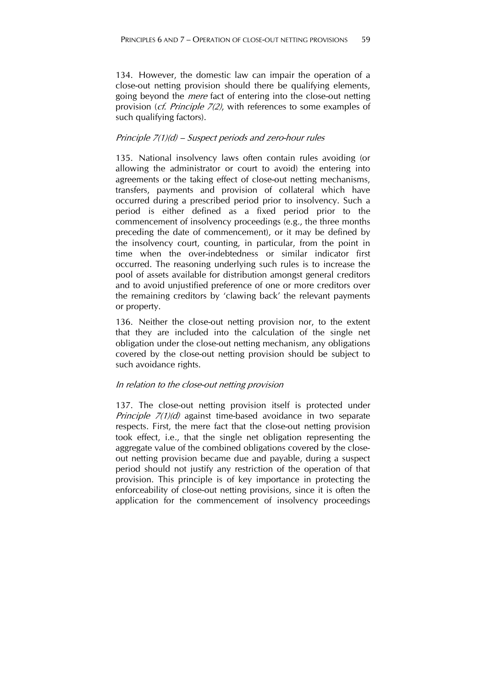134. However, the domestic law can impair the operation of a close-out netting provision should there be qualifying elements, going beyond the *mere* fact of entering into the close-out netting provision (cf. Principle 7(2), with references to some examples of such qualifying factors).

## Principle 7(1)(d) – Suspect periods and zero-hour rules

135. National insolvency laws often contain rules avoiding (or allowing the administrator or court to avoid) the entering into agreements or the taking effect of close-out netting mechanisms, transfers, payments and provision of collateral which have occurred during a prescribed period prior to insolvency. Such a period is either defined as a fixed period prior to the commencement of insolvency proceedings (e.g., the three months preceding the date of commencement), or it may be defined by the insolvency court, counting, in particular, from the point in time when the over-indebtedness or similar indicator first occurred. The reasoning underlying such rules is to increase the pool of assets available for distribution amongst general creditors and to avoid unjustified preference of one or more creditors over the remaining creditors by 'clawing back' the relevant payments or property.

136. Neither the close-out netting provision nor, to the extent that they are included into the calculation of the single net obligation under the close-out netting mechanism, any obligations covered by the close-out netting provision should be subject to such avoidance rights.

# In relation to the close-out netting provision

137. The close-out netting provision itself is protected under Principle 7(1)(d) against time-based avoidance in two separate respects. First, the mere fact that the close-out netting provision took effect, i.e., that the single net obligation representing the aggregate value of the combined obligations covered by the closeout netting provision became due and payable, during a suspect period should not justify any restriction of the operation of that provision. This principle is of key importance in protecting the enforceability of close-out netting provisions, since it is often the application for the commencement of insolvency proceedings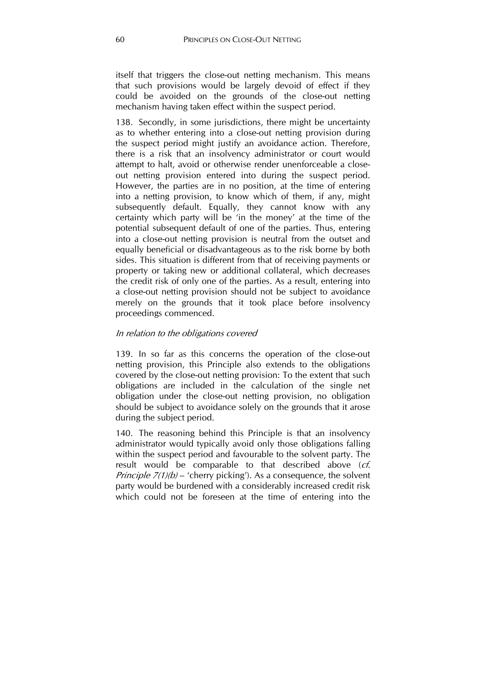itself that triggers the close-out netting mechanism. This means that such provisions would be largely devoid of effect if they could be avoided on the grounds of the close-out netting mechanism having taken effect within the suspect period.

138. Secondly, in some jurisdictions, there might be uncertainty as to whether entering into a close-out netting provision during the suspect period might justify an avoidance action. Therefore, there is a risk that an insolvency administrator or court would attempt to halt, avoid or otherwise render unenforceable a closeout netting provision entered into during the suspect period. However, the parties are in no position, at the time of entering into a netting provision, to know which of them, if any, might subsequently default. Equally, they cannot know with any certainty which party will be 'in the money' at the time of the potential subsequent default of one of the parties. Thus, entering into a close-out netting provision is neutral from the outset and equally beneficial or disadvantageous as to the risk borne by both sides. This situation is different from that of receiving payments or property or taking new or additional collateral, which decreases the credit risk of only one of the parties. As a result, entering into a close-out netting provision should not be subject to avoidance merely on the grounds that it took place before insolvency proceedings commenced.

### In relation to the obligations covered

139. In so far as this concerns the operation of the close-out netting provision, this Principle also extends to the obligations covered by the close-out netting provision: To the extent that such obligations are included in the calculation of the single net obligation under the close-out netting provision, no obligation should be subject to avoidance solely on the grounds that it arose during the subject period.

140. The reasoning behind this Principle is that an insolvency administrator would typically avoid only those obligations falling within the suspect period and favourable to the solvent party. The result would be comparable to that described above (*cf. Principle*  $7(1)(b)$  *– 'cherry picking'*). As a consequence, the solvent party would be burdened with a considerably increased credit risk which could not be foreseen at the time of entering into the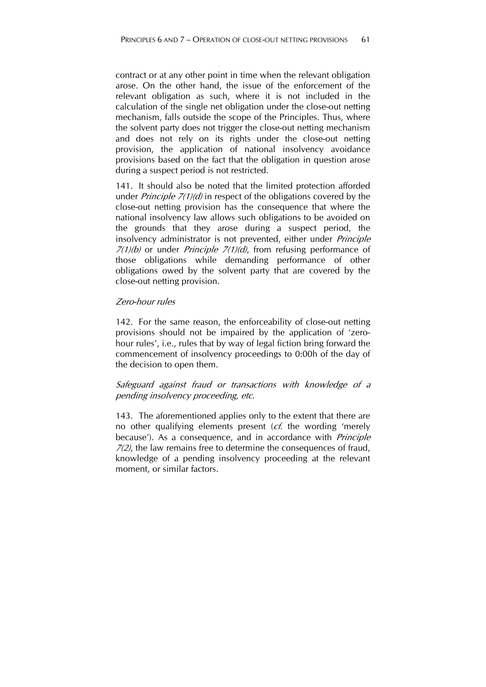contract or at any other point in time when the relevant obligation arose. On the other hand, the issue of the enforcement of the relevant obligation as such, where it is not included in the calculation of the single net obligation under the close-out netting mechanism, falls outside the scope of the Principles. Thus, where the solvent party does not trigger the close-out netting mechanism and does not rely on its rights under the close-out netting provision, the application of national insolvency avoidance provisions based on the fact that the obligation in question arose during a suspect period is not restricted.

141. It should also be noted that the limited protection afforded under *Principle 7(1)(d)* in respect of the obligations covered by the close-out netting provision has the consequence that where the national insolvency law allows such obligations to be avoided on the grounds that they arose during a suspect period, the insolvency administrator is not prevented, either under Principle  $7(1)(b)$  or under *Principle 7(1)(d)*, from refusing performance of those obligations while demanding performance of other obligations owed by the solvent party that are covered by the close-out netting provision.

### Zero-hour rules

142. For the same reason, the enforceability of close-out netting provisions should not be impaired by the application of 'zerohour rules', i.e., rules that by way of legal fiction bring forward the commencement of insolvency proceedings to 0:00h of the day of the decision to open them.

## Safeguard against fraud or transactions with knowledge of a pending insolvency proceeding, etc.

143. The aforementioned applies only to the extent that there are no other qualifying elements present  $(cf.$  the wording 'merely because'). As a consequence, and in accordance with *Principle* 7(2), the law remains free to determine the consequences of fraud, knowledge of a pending insolvency proceeding at the relevant moment, or similar factors.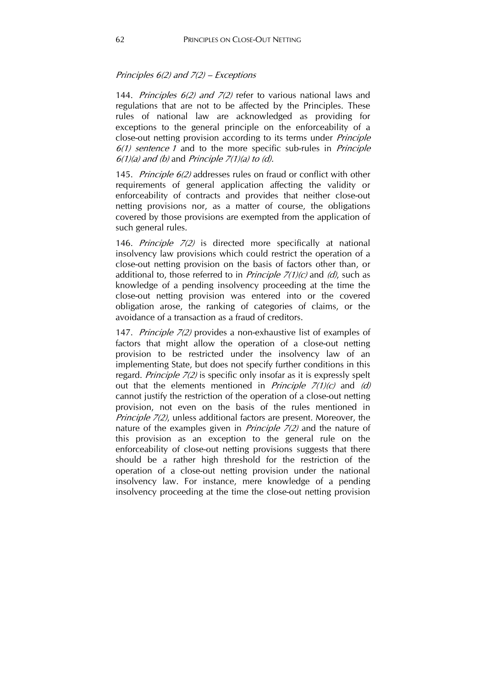#### Principles  $6(2)$  and  $7(2)$  – Exceptions

144. Principles  $6(2)$  and  $7(2)$  refer to various national laws and regulations that are not to be affected by the Principles. These rules of national law are acknowledged as providing for exceptions to the general principle on the enforceability of a close-out netting provision according to its terms under Principle 6(1) sentence 1 and to the more specific sub-rules in Principle  $6(1)(a)$  and (b) and Principle  $7(1)(a)$  to (d).

145. Principle 6(2) addresses rules on fraud or conflict with other requirements of general application affecting the validity or enforceability of contracts and provides that neither close-out netting provisions nor, as a matter of course, the obligations covered by those provisions are exempted from the application of such general rules.

146. Principle 7(2) is directed more specifically at national insolvency law provisions which could restrict the operation of a close-out netting provision on the basis of factors other than, or additional to, those referred to in *Principle*  $7(1)(c)$  and  $(d)$ , such as knowledge of a pending insolvency proceeding at the time the close-out netting provision was entered into or the covered obligation arose, the ranking of categories of claims, or the avoidance of a transaction as a fraud of creditors.

147. Principle 7(2) provides a non-exhaustive list of examples of factors that might allow the operation of a close-out netting provision to be restricted under the insolvency law of an implementing State, but does not specify further conditions in this regard. Principle 7(2) is specific only insofar as it is expressly spelt out that the elements mentioned in *Principle*  $7(1)(c)$  and  $(d)$ cannot justify the restriction of the operation of a close-out netting provision, not even on the basis of the rules mentioned in Principle 7(2), unless additional factors are present. Moreover, the nature of the examples given in *Principle 7(2)* and the nature of this provision as an exception to the general rule on the enforceability of close-out netting provisions suggests that there should be a rather high threshold for the restriction of the operation of a close-out netting provision under the national insolvency law. For instance, mere knowledge of a pending insolvency proceeding at the time the close-out netting provision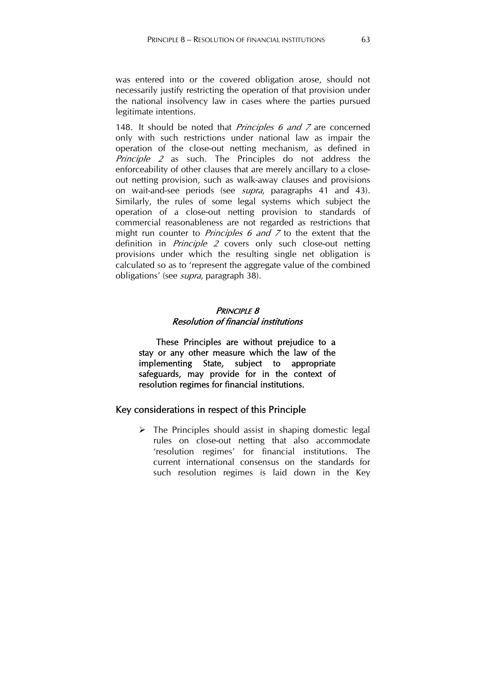was entered into or the covered obligation arose, should not necessarily justify restricting the operation of that provision under the national insolvency law in cases where the parties pursued legitimate intentions.

148. It should be noted that *Principles 6 and 7* are concerned only with such restrictions under national law as impair the operation of the close-out netting mechanism, as defined in Principle 2 as such. The Principles do not address the enforceability of other clauses that are merely ancillary to a closeout netting provision, such as walk-away clauses and provisions on wait-and-see periods (see *supra*, paragraphs 41 and 43). Similarly, the rules of some legal systems which subject the operation of a close-out netting provision to standards of commercial reasonableness are not regarded as restrictions that might run counter to *Principles 6 and 7* to the extent that the definition in *Principle 2* covers only such close-out netting provisions under which the resulting single net obligation is calculated so as to 'represent the aggregate value of the combined obligations' (see *supra*, paragraph 38).

## PRINCIPLE 8 Resolution of financial institutions

These Principles are without prejudice to a stay or any other measure which the law of the implementing State, subject to appropriate safeguards, may provide for in the context of resolution regimes for financial institutions.

# Key considerations in respect of this Principle

 $\triangleright$  The Principles should assist in shaping domestic legal rules on close-out netting that also accommodate 'resolution regimes' for financial institutions. The current international consensus on the standards for such resolution regimes is laid down in the Key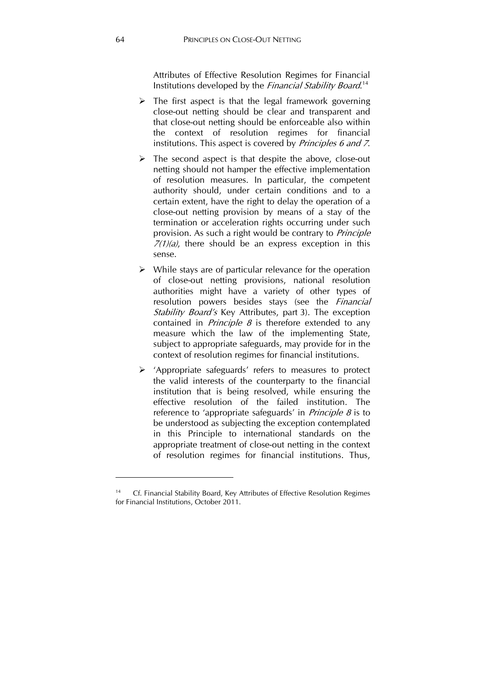Attributes of Effective Resolution Regimes for Financial Institutions developed by the *Financial Stability Board*.<sup>14</sup>

- $\triangleright$  The first aspect is that the legal framework governing close-out netting should be clear and transparent and that close-out netting should be enforceable also within the context of resolution regimes for financial institutions. This aspect is covered by *Principles 6 and 7*.
- $\triangleright$  The second aspect is that despite the above, close-out netting should not hamper the effective implementation of resolution measures. In particular, the competent authority should, under certain conditions and to a certain extent, have the right to delay the operation of a close-out netting provision by means of a stay of the termination or acceleration rights occurring under such provision. As such a right would be contrary to Principle  $7(1)(a)$ , there should be an express exception in this sense.
- $\triangleright$  While stays are of particular relevance for the operation of close-out netting provisions, national resolution authorities might have a variety of other types of resolution powers besides stays (see the *Financial* Stability Board's Key Attributes, part 3). The exception contained in *Principle 8* is therefore extended to any measure which the law of the implementing State, subject to appropriate safeguards, may provide for in the context of resolution regimes for financial institutions.
- 'Appropriate safeguards' refers to measures to protect the valid interests of the counterparty to the financial institution that is being resolved, while ensuring the effective resolution of the failed institution. The reference to 'appropriate safeguards' in Principle 8 is to be understood as subjecting the exception contemplated in this Principle to international standards on the appropriate treatment of close-out netting in the context of resolution regimes for financial institutions. Thus,

1

Cf. Financial Stability Board, Key Attributes of Effective Resolution Regimes for Financial Institutions, October 2011.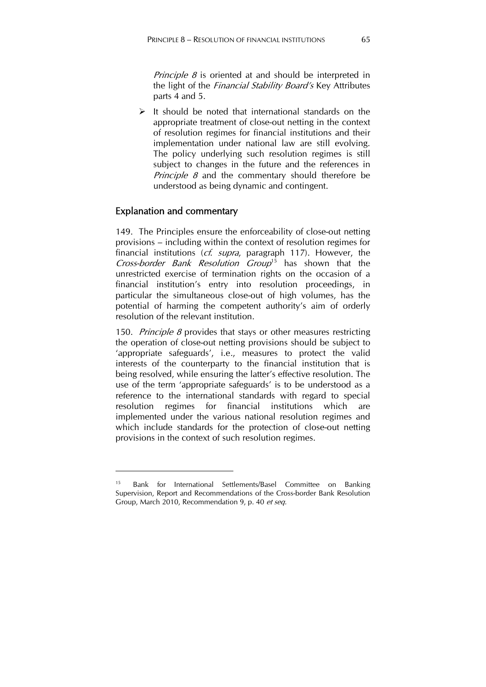Principle 8 is oriented at and should be interpreted in the light of the *Financial Stability Board's* Key Attributes parts 4 and 5.

 $\triangleright$  It should be noted that international standards on the appropriate treatment of close-out netting in the context of resolution regimes for financial institutions and their implementation under national law are still evolving. The policy underlying such resolution regimes is still subject to changes in the future and the references in *Principle 8* and the commentary should therefore be understood as being dynamic and contingent.

### Explanation and commentary

1

149. The Principles ensure the enforceability of close-out netting provisions – including within the context of resolution regimes for financial institutions ( $cf.$  supra, paragraph 117). However, the Cross-border Bank Resolution  $Group^{15}$  has shown that the unrestricted exercise of termination rights on the occasion of a financial institution's entry into resolution proceedings, in particular the simultaneous close-out of high volumes, has the potential of harming the competent authority's aim of orderly resolution of the relevant institution.

150. *Principle 8* provides that stays or other measures restricting the operation of close-out netting provisions should be subject to 'appropriate safeguards', i.e., measures to protect the valid interests of the counterparty to the financial institution that is being resolved, while ensuring the latter's effective resolution. The use of the term 'appropriate safeguards' is to be understood as a reference to the international standards with regard to special resolution regimes for financial institutions which are implemented under the various national resolution regimes and which include standards for the protection of close-out netting provisions in the context of such resolution regimes.

<sup>15</sup> Bank for International Settlements/Basel Committee on Banking Supervision, Report and Recommendations of the Cross-border Bank Resolution Group, March 2010, Recommendation 9, p. 40 et seq.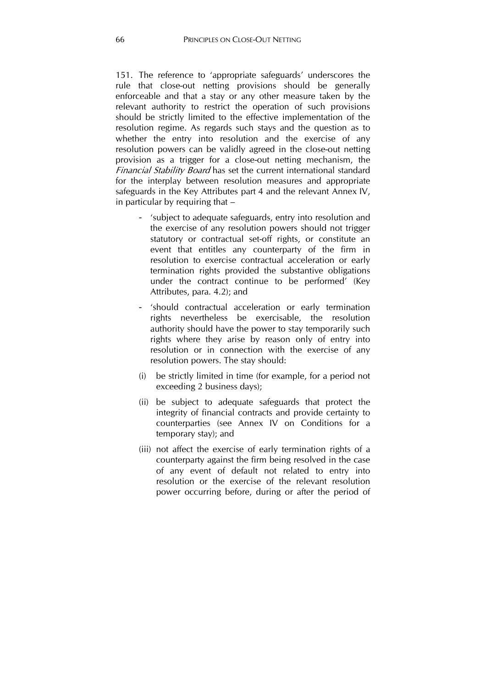151. The reference to 'appropriate safeguards' underscores the rule that close-out netting provisions should be generally enforceable and that a stay or any other measure taken by the relevant authority to restrict the operation of such provisions should be strictly limited to the effective implementation of the resolution regime. As regards such stays and the question as to whether the entry into resolution and the exercise of any resolution powers can be validly agreed in the close-out netting provision as a trigger for a close-out netting mechanism, the Financial Stability Board has set the current international standard for the interplay between resolution measures and appropriate safeguards in the Key Attributes part 4 and the relevant Annex IV, in particular by requiring that –

- 'subject to adequate safeguards, entry into resolution and the exercise of any resolution powers should not trigger statutory or contractual set-off rights, or constitute an event that entitles any counterparty of the firm in resolution to exercise contractual acceleration or early termination rights provided the substantive obligations under the contract continue to be performed' (Key Attributes, para. 4.2); and
- 'should contractual acceleration or early termination rights nevertheless be exercisable, the resolution authority should have the power to stay temporarily such rights where they arise by reason only of entry into resolution or in connection with the exercise of any resolution powers. The stay should:
- (i) be strictly limited in time (for example, for a period not exceeding 2 business days);
- (ii) be subject to adequate safeguards that protect the integrity of financial contracts and provide certainty to counterparties (see Annex IV on Conditions for a temporary stay); and
- (iii) not affect the exercise of early termination rights of a counterparty against the firm being resolved in the case of any event of default not related to entry into resolution or the exercise of the relevant resolution power occurring before, during or after the period of